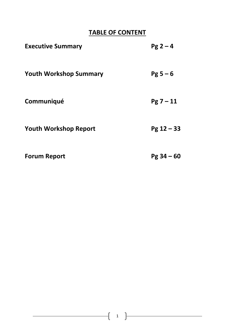# **TABLE OF CONTENT**

| <b>Executive Summary</b>      | $Pg 2 - 4$   |
|-------------------------------|--------------|
| <b>Youth Workshop Summary</b> | $Pg 5 - 6$   |
| Communiqué                    | $Pg 7 - 11$  |
| <b>Youth Workshop Report</b>  | $Pg 12 - 33$ |
| <b>Forum Report</b>           | $Pg 34 - 60$ |

ſ

 $\mathcal{L}^{\mathcal{L}}(\mathcal{L}^{\mathcal{L}})$  and  $\mathcal{L}^{\mathcal{L}}(\mathcal{L}^{\mathcal{L}})$  and  $\mathcal{L}^{\mathcal{L}}(\mathcal{L}^{\mathcal{L}})$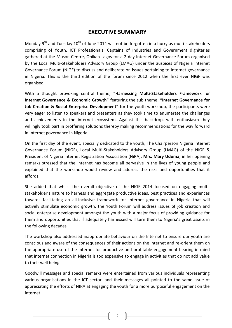# **EXECUTIVE SUMMARY**

Monday  $9<sup>th</sup>$  and Tuesday  $10<sup>th</sup>$  of June 2014 will not be forgotten in a hurry as multi-stakeholders comprising of Youth, ICT Professionals, Captains of Industries and Government dignitaries gathered at the Muson Centre, Onikan Lagos for a 2-day Internet Governance Forum organised by the Local Multi-Stakeholders Advisory Group (LMAG) under the auspices of Nigeria Internet Governance Forum (NIGF) to discuss and deliberate on issues pertaining to Internet governance in Nigeria. This is the third edition of the forum since 2012 when the first ever NIGF was organised.

With a thought provoking central theme; **"Harnessing Multi-Stakeholders Framework for Internet Governance & Economic Growth"** featuring the sub theme; **"Internet Governance for Job Creation & Social Enterprise Development"** for the youth workshop, the participants were very eager to listen to speakers and presenters as they took time to enumerate the challenges and achievements in the internet ecosystem. Against this backdrop, with enthusiasm they willingly took part in proffering solutions thereby making recommendations for the way forward in Internet governance in Nigeria.

On the first day of the event, specially dedicated to the youth, The Chairperson Nigeria Internet Governance Forum (NIGF), Local Multi-Stakeholders Advisory Group (LMAG) of the NIGF & President of Nigeria Internet Registration Association (NiRA), **Mrs. Mary Uduma**, in her opening remarks stressed that the Internet has become all pervasive in the lives of young people and explained that the workshop would review and address the risks and opportunities that it affords.

She added that whilst the overall objective of the NIGF 2014 focused on engaging multistakeholder's nature to harness and aggregate productive ideas, best practices and experiences towards facilitating an all-inclusive framework for Internet governance in Nigeria that will actively stimulate economic growth, the Youth Forum will address issues of job creation and social enterprise development amongst the youth with a major focus of providing guidance for them and opportunities that if adequately harnessed will turn them to Nigeria's great assets in the following decades.

The workshop also addressed inappropriate behaviour on the Internet to ensure our youth are conscious and aware of the consequences of their actions on the Internet and re-orient them on the appropriate use of the Internet for productive and profitable engagement bearing in mind that internet connection in Nigeria is too expensive to engage in activities that do not add value to their well being.

Goodwill messages and special remarks were entertained from various individuals representing various organisations in the ICT sector, and their messages all pointed to the same issue of appreciating the efforts of NIRA at engaging the youth for a more purposeful engagement on the internet.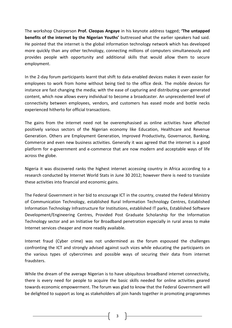The workshop Chairperson **Prof. Cleopas Angaye** in his keynote address tagged; **'The untapped benefits of the internet by the Nigerian Youths'** buttressed what the earlier speakers had said. He pointed that the internet is the global information technology network which has developed more quickly than any other technology, connecting millions of computers simultaneously and provides people with opportunity and additional skills that would allow them to secure employment.

In the 2-day forum participants learnt that shift to data-enabled devices makes it even easier for employees to work from home without being tied to the office desk. The mobile devices for instance are fast changing the media; with the ease of capturing and distributing user-generated content, which now allows every individual to become a broadcaster. An unprecedented level of connectivity between employees, vendors, and customers has eased mode and bottle necks experienced hitherto for official transactions.

The gains from the internet need not be overemphasised as online activities have affected positively various sectors of the Nigerian economy like Education, Healthcare and Revenue Generation. Others are Employment Generation, Improved Productivity, Governance, Banking, Commerce and even new business activities. Generally it was agreed that the internet is a good platform for e-government and e-commerce that are now modern and acceptable ways of life across the globe.

Nigeria it was discovered ranks the highest internet accessing country in Africa according to a research conducted by Internet World Stats in June 30 2012; however there is need to translate these activities into financial and economic gains.

The Federal Government in her bid to encourage ICT in the country, created the Federal Ministry of Communication Technology, established Rural Information Technology Centres, Established Information Technology Infrastructure for Institutions, established IT parks, Established Software Development/Engineering Centres, Provided Post Graduate Scholarship for the Information Technology sector and an Initiative for Broadband penetration especially in rural areas to make Internet services cheaper and more readily available.

Internet fraud (Cyber crime) was not undermined as the forum espoused the challenges confronting the ICT and strongly advised against such vices while educating the participants on the various types of cybercrimes and possible ways of securing their data from internet fraudsters.

While the dream of the average Nigerian is to have ubiquitous broadband internet connectivity, there is every need for people to acquire the basic skills needed for online activities geared towards economic empowerment. The forum was glad to know that the Federal Government will be delighted to support as long as stakeholders all join hands together in promoting programmes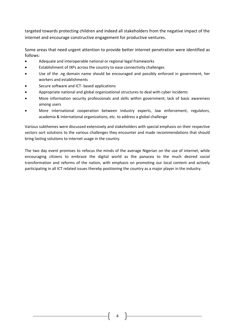targeted towards protecting children and indeed all stakeholders from the negative impact of the internet and encourage constructive engagement for productive ventures.

Some areas that need urgent attention to provide better internet penetration were identified as follows:

- Adequate and interoperable national or regional legal frameworks
- Establishment of IXPs across the country to ease connectivity challenges
- Use of the .ng domain name should be encouraged and possibly enforced in government, her workers and establishments
- Secure software and ICT- based applications
- Appropriate national and global organizational structures to deal with cyber incidents
- More information security professionals and skills within government; lack of basic awareness among users
- More international cooperation between industry experts, law enforcement, regulators, academia & international organizations, etc. to address a global challenge

Various subthemes were discussed extensively and stakeholders with special emphasis on their respective sectors sort solutions to the various challenges they encounter and made recommendations that should bring lasting solutions to internet usage in the country.

The two day event promises to refocus the minds of the average Nigerian on the use of internet, while encouraging citizens to embrace the digital world as the panacea to the much desired social transformation and reforms of the nation, with emphasis on promoting our local content and actively participating in all ICT related issues thereby positioning the country as a major player in the industry.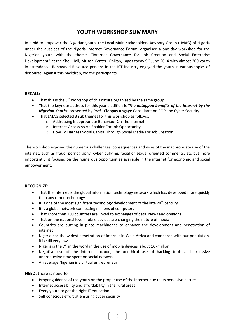# **YOUTH WORKSHOP SUMMARY**

In a bid to empower the Nigerian youth, the Local Multi-stakeholders Advisory Group (LMAG) of Nigeria under the auspices of the Nigeria Internet Governance Forum, organised a one-day workshop for the Nigerian youth with the theme, "Internet Governance for Job Creation and Social Enterprise Development" at the Shell Hall, Muson Center, Onikan, Lagos today 9<sup>th</sup> June 2014 with almost 200 youth in attendance. Renowned Resource persons in the ICT industry engaged the youth in various topics of discourse. Against this backdrop, we the participants,

### **RECALL:**

- That this is the  $3^{rd}$  workshop of this nature organised by the same group
- That the keynote address for this year's edition is **'***The untapped benefits of the internet by the Nigerian Youths***'** presented by **Prof. Cleopas Angaye** Consultant on COP and Cyber Security
- That LMAG selected 3 sub themes for this workshop as follows:
	- o Addressing Inappropriate Behaviour On The Internet
	- o Internet Access As An Enabler For Job Opportunity
	- o How To Harness Social Capital Through Social Media For Job Creation

The workshop exposed the numerous challenges, consequences and vices of the inappropriate use of the internet, such as fraud, pornography, cyber bullying, racial or sexual oriented comments, etc but more importantly, it focused on the numerous opportunities available in the internet for economic and social empowerment.

### **RECOGNIZE:**

- That the internet is the global information technology network which has developed more quickly than any other technology
- It is one of the most significant technology development of the late  $20^{th}$  century
- It is a global network connecting millions of computers
- That More than 100 countries are linked to exchanges of data, News and opinions
- That on the national level mobile devices are changing the nature of media
- Countries are putting in place machineries to enhance the development and penetration of internet
- Nigeria has the widest penetration of internet in West Africa and compared with our population, it is still very low.
- Nigeria is the  $7<sup>th</sup>$  in the word in the use of mobile devices about 167 million
- Negative use of the internet include; the unethical use of hacking tools and excessive unproductive time spent on social network
- An average Nigerian is a virtual entrepreneur

### **NEED:** there is need for:

Proper guidance of the youth on the proper use of the internet due to its pervasive nature

5

- Internet accessibility and affordability in the rural areas
- Every youth to get the right IT education
- Self conscious effort at ensuring cyber security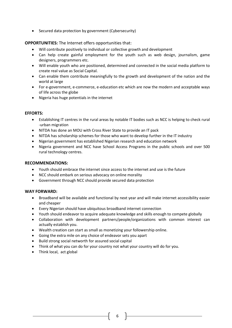• Secured data protection by government (Cybersecurity)

### **OPPORTUNITIES:** The Internet offers opportunities that:

- Will contribute positively to individual or collective growth and development
- Can help create gainful employment for the youth such as web design, journalism, game designers, programmers etc.
- Will enable youth who are positioned, determined and connected in the social media platform to create real value as Social Capital.
- Can enable them contribute meaningfully to the growth and development of the nation and the world at large
- For e-government, e-commerce, e-education etc which are now the modern and acceptable ways of life across the globe
- Nigeria has huge potentials in the internet

### **EFFORTS:**

- Establishing IT centres in the rural areas by notable IT bodies such as NCC is helping to check rural -urban migration
- NITDA has done an MOU with Cross River State to provide an IT pack
- NITDA has scholarship schemes for those who want to develop further in the IT industry
- Nigerian government has established Nigerian research and education network
- Nigeria government and NCC have School Access Programs in the public schools and over 500 rural technology centres.

### **RECOMMENDATIONS:**

- Youth should embrace the internet since access to the internet and use is the future
- NCC should embark on serious advocacy on online morality
- Government through NCC should provide secured data protection

### **WAY FORWARD:**

- Broadband will be available and functional by next year and will make internet accessibility easier and cheaper
- Every Nigerian should have ubiquitous broadband internet connection
- Youth should endeavor to acquire adequate knowledge and skills enough to compete globally
- Collaboration with development partners/people/organizations with common interest can actually establish you.
- Wealth creation can start as small as monetizing your followership online.
- Going the extra mile on any choice of endeavor sets you apart
- Build strong social networth for assured social capital
- Think of what you can do for your country not what your country will do for you.
- Think local, act global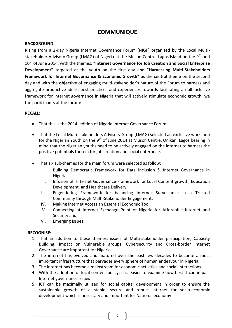# **COMMUNIQUE**

### **BACKGROUND**

Rising from a 2-day Nigeria Internet Governance Forum (NIGF) organised by the Local Multistakeholder Advisory Group (LMAG) of Nigeria at the Muson Centre, Lagos Island on the 9<sup>th</sup> and 10th of June 2014, with the themes; **"Internet Governance for Job Creation and Social Enterprise Development"** targeted at the youth on the first day and **"Harnessing Multi-Stakeholders Framework for Internet Governance & Economic Growth"** as the central theme on the second day and with the **objective** of engaging multi-stakeholder's nature of the Forum to harness and aggregate productive ideas, best practices and experiences towards facilitating an all-inclusive framework for internet governance in Nigeria that will actively stimulate economic growth, we the participants at the forum:

### **RECALL:**

- That this is the 2014 edition of Nigeria Internet Governance Forum
- That the Local Multi-stakeholders Advisory Group (LMAG) selected an exclusive workshop for the Nigerian Youth on the 9<sup>th</sup> of June 2014 at Muson Centre, Onikan, Lagos bearing in mind that the Nigerian youths need to be actively engaged on the internet to harness the positive potentials therein for job creation and social enterprise.
- That six sub-themes for the main forum were selected as follow:
	- I. Building Democratic Framework for Data inclusion & Internet Governance in Nigeria;
	- II. Infusion of Internet Governance Framework for Local Content growth, Education Development, and Healthcare Delivery;
	- III. Engendering Framework for balancing Internet Surveillance in a Trusted Community through Multi-Stakeholder Engagement;
	- IV. Making Internet Access an Essential Economic Tool;
	- V. Connecting at Internet Exchange Point of Nigeria for Affordable Internet and Security and;
	- VI. Emerging Issues.

### **RECOGNISE:**

- 1. That in addition to these themes, issues of Multi-stakeholder participation, Capacity Building, Impact on Vulnerable groups, Cybersecurity and Cross-border Internet Governance are important for Nigeria
- 2. The internet has evolved and matured over the past few decades to become a most important infrastructure that pervades every sphere of human endeavour in Nigeria.
- 3. The internet has become a mainstream for economic activities and social interactions.
- 4. With the adoption of local content policy, it is easier to examine how best it can impact Internet governance issues
- 5. ICT can be maximally utilized for social capital development in order to ensure the sustainable growth of a stable, secure and robust internet for socio-economic development which is necessary and important for National economy

7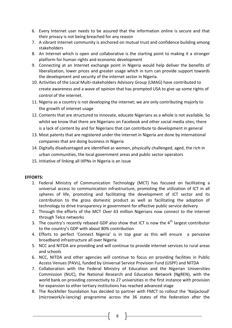- 6. Every Internet user needs to be assured that the information online is secure and that their privacy is not being breached for any reason
- 7. A vibrant Internet community is anchored on mutual trust and confidence building among stakeholders
- 8. An Internet which is open and collaborative is the starting point to making it a stronger platform for human rights and economic development
- 9. Connecting at an Internet exchange point in Nigeria would help deliver the benefits of liberalization, lower prices and greater usage which in turn can provide support towards the development and security of the internet sector in Nigeria.
- 10. Activities of the Local Multi-stakeholders Advisory Group (LMAG) have contributed to create awareness and a wave of opinion that has prompted USA to give up some rights of control of the internet.
- 11. Nigeria as a country is not developing the internet; we are only contributing majorly to the growth of internet usage
- 12. Contents that are structured to innovate, educate Nigerians as a whole is not available. So whilst we know that there are Nigerians on Facebook and other social media sites; there is a lack of content by and for Nigerians that can contribute to development in general
- 13. Most patents that are registered under the internet in Nigeria are done by international companies that are doing business in Nigeria
- 14. Digitally disadvantaged are identified as women, physically challenged, aged, the rich in urban communities, the local government areas and public sector operators
- 15. Initiative of linking all IXPNs in Nigeria is an issue

## **EFFORTS:**

- 1. Federal Ministry of Communication Technology (MCT) has focused on facilitating a universal access to communication infrastructure, promoting the utilization of ICT in all spheres of life, promoting and facilitating the development of ICT sector and its contribution to the gross domestic product as well as facilitating the adoption of technology to drive transparency in government for effective public service delivery
- 2. Through the efforts of the MCT Over 63 million Nigerians now connect to the internet through Telco networks
- 3. The country's recently rebased GDP also show that ICT is now the  $4<sup>th</sup>$  largest contributor to the country's GDP with about 80% contribution
- 4. Efforts to perfect 'Connect Nigeria' is in top gear as this will ensure a pervasive broadband infrastructure all over Nigeria
- 5. NCC and NITDA are providing and will continue to provide internet services to rural areas and schools
- 6. NCC, NITDA and other agencies will continue to focus on providing facilities in Public Access Venues (PAVs), funded by Universal Service Provision Fund (USPF) and NITDA
- 7. Collaboration with the Federal Ministry of Education and the Nigerian Universities Commission (NUC), the National Research and Education Network (NgREN), with the world bank on providing connectivity to 27 universities in the first instance with provision for expansion to other tertiary institutions has reached advanced stage
- 8. The Rockfeller foundation has decided to partner with FMCT to rollout the 'Naijacloud' (microwork/e-lancing) programme across the 36 states of the federation after the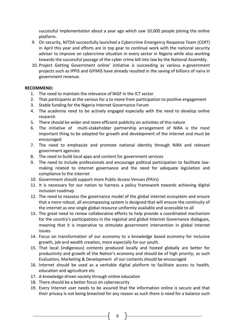successful implementation about a year ago which saw 10,000 people joining the online platform.

- 9. On security, NITDA successfully launched a Cybercrime Emergency Response Team (CERT) in April this year and efforts are in top gear to continue work with the national security adviser to improve on cybercrime situation in every sector in Nigeria while also working towards the successful passage of the cyber crime bill into law by the National Assembly.
- 10. Project Getting Government online' initiative is succeeding as various e-government projects such as IPPIS and GIFMIS have already resulted in the saving of billions of naira in government revenue.

## **RECOMMEND:**

- 1. The need to maintain the relevance of NiGF in the ICT sector
- 2. That participants at the various for a to move from participation to positive engagement
- 3. Stable funding for the Nigeria Internet Governance Forum
- 4. The academia need to be actively engaged especially with the need to develop online research
- 5. There should be wider and more efficient publicity on activities of this nature
- 6. The initiative of multi-stakeholder partnership arrangement of NiRA is the most important thing to be adopted for growth and development of the internet and must be encouraged
- 7. The need to emphasize and promote national identity through NiRA and relevant government agencies
- 8. The need to build local apps and content for government services
- 9. The need to include professionals and encourage political participation to facilitate lawmaking related to internet governance and the need for adequate legislation and compliance to the internet
- 10. Government should support more Public Access Venues (PAVs)
- 11. It is necessary for our nation to harness a policy framework towards achieving digital inclusion roadmap
- 12. The need to reassess the governance model of the global internet ecosystem and ensure that a more robust, all encompassing system is designed that will ensure the continuity of the internet as one single global resource uniformly available and accessible to all
- 13. The great need to renew collaborative efforts to help provide a coordinated mechanism for the country's participations in the regional and global Internet Governance dialogues, meaning that it is imperative to stimulate government intervention in global internet issues.
- 14. Focus on transformation of our economy to a knowledge based economy for inclusive growth, job and wealth creation, more especially for our youth.
- 15. That local (indigenous) contents produced locally and hosted globally are better for productivity and growth of the Nation's economy and should be of high priority; as such Evaluation, Marketing & Development of our contents should be encouraged
- 16. Internet should be used as a veritable digital platform to facilitate access to health, education and agriculture etc
- 17. A knowledge driven society through online education
- 18. There should be a better focus on cybersecurity
- 19. Every Internet user needs to be assured that the information online is secure and that their privacy is not being breached for any reason as such there is need for a balance such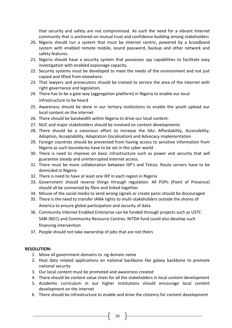that security and safety are not compromised. As such the need for a vibrant Internet community that is anchored on mutual trust and confidence building among stakeholders

- 20. Nigeria should run a system that must be internet centric, powered by a broadband system with enabled remote mobile, sound password, backup and other network and safety features.
- 21. Nigeria should have a security system that possesses spy capabilities to facilitate easy investigation with enabled espionage capacity.
- 22. Security systems must be developed to meet the needs of the environment and not just copied and lifted from elsewhere.
- 23. That lawyers and prosecutors should be trained to service the area of the internet with right governance and legislation.
- 24. There has to be a gate way (aggregation platform) in Nigeria to enable our local infrastructure to be heard
- 25. Awareness should be done in our tertiary institutions to enable the youth upload our local content on the internet
- 26. There should be bandwidth within Nigeria to drive our local content.
- 27. NUC and major stakeholders should be involved on content developments
- 28. There should be a conscious effort to increase the 6As: Affordability, Accessibility, Adoption, Acceptability, Adaptation (localisation) and Advocacy implementation
- 29. Foreign countries should be prevented from having access to sensitive information from Nigeria as such boundaries have to be set in the cyber world
- 30. There is need to improve on basic infrastructure such as power and security that will guarantee steady and uninterrupted internet access.
- 31. There must be more collaboration between ISP's and Telcos. Route servers have to be domiciled in Nigeria
- 32. There is need to have at least one IXP in each region in Nigeria
- 33. Government should reverse things through regulation. All POPs (Point of Presence) should all be connected by fibre and linked together.
- 34. Misuse of the social media to send wrong signals or create panic should be discouraged
- 35. There is the need to transfer IANA rights to multi-stakeholders outside the shores of America to ensure global participation and security of data.
- 36. Community Internet Enabled Enterprise can be funded through projects such as USTF, SABI (NCC) and Community Resource Centres. NITDA fund could also develop such financing intervention
- 37. People should not take ownership of jobs that are not theirs

## **RESOLUTION:**

- 1. Move all government domains to .ng domain name
- 2. Host data related applications on national backbone like galaxy backbone to promote national security
- 3. Our local content must be promoted and awareness created
- 4. There should be content value chain for all the stakeholders in local content development
- 5. Academic curriculum in our higher institutions should encourage local content development on the internet
- 6. There should be infrastructure to enable and drive the citizenry for content development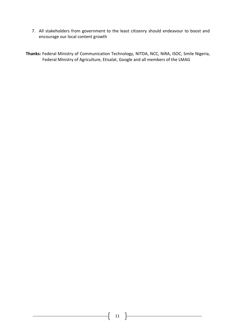- 7. All stakeholders from government to the least citizenry should endeavour to boost and encourage our local content growth
- **Thanks:** Federal Ministry of Communication Technology, NITDA, NCC, NiRA, ISOC, Smile Nigeria, Federal Ministry of Agriculture, Etisalat, Google and all members of the LMAG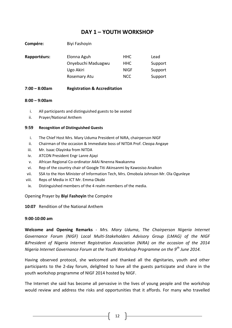# **DAY 1 – YOUTH WORKSHOP**

| Compére:     | Biyi Fashoyin      |             |         |
|--------------|--------------------|-------------|---------|
| Rapportéurs: | Elonna Aguh        | <b>HHC</b>  | Lead    |
|              | Onyebuchi Maduagwu | <b>HHC</b>  | Support |
|              | Ugo Akiri          | <b>NIGF</b> | Support |
|              | Rosemary Atu       | <b>NCC</b>  | Support |
|              |                    |             |         |

### **7:00 – 8:00am Registration & Accreditation**

### **8:00 – 9:00am**

- i. All participants and distinguished guests to be seated
- ii. Prayer/National Anthem

### **9:59 Recognition of Distinguished Guests**

- i. The Chief Host Mrs. Mary Uduma President of NiRA, chairperson NIGF
- ii. Chairman of the occasion & Immediate boss of NITDA Prof. Cleopa Angaye
- iii. Mr. Isaac Olayinka from NITDA
- iv. ATCON President Engr Lanre Ajayi
- v. African Regional Co-ordinator A4Ai Nnenna Nwakanma
- vi. Rep of the country chair of Google Titi Akinsanmi by Kawosiso Anaikon
- vii. SSA to the Hon Minister of Information Tech, Mrs. Omobola Johnson Mr. Ola Ogunleye
- viii. Reps of Media in ICT Mr. Emma Okobi
- ix. Distinguished members of the 4 realm members of the media.

### Opening Prayer by **Biyi Fashoyin** the Compére

**10:07** Rendition of the National Anthem

#### **9:00-10:00 am**

**Welcome and Opening Remarks** - *Mrs. Mary Uduma*, *The Chairperson Nigeria Internet Governance Forum (NIGF) Local Multi-Stakeholders Advisory Group (LMAG) of the NIGF &President of Nigeria Internet Registration Association (NiRA) on the occasion of the 2014 Nigeria Internet Governance Forum at the Youth Workshop Programme on the 9th June 2014.*

Having observed protocol, she welcomed and thanked all the dignitaries, youth and other participants to the 2-day forum, delighted to have all the guests participate and share in the youth workshop programme of NIGF 2014 hosted by NIGF.

The Internet she said has become all pervasive in the lives of young people and the workshop would review and address the risks and opportunities that it affords. For many who travelled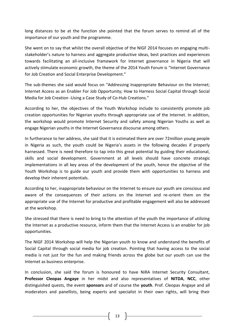long distances to be at the function she pointed that the forum serves to remind all of the importance of our youth and the programme.

She went on to say that whilst the overall objective of the NIGF 2014 focuses on engaging multistakeholder's nature to harness and aggregate productive ideas, best practices and experiences towards facilitating an all-inclusive framework for Internet governance in Nigeria that will actively stimulate economic growth, the theme of the 2014 Youth Forum is "Internet Governance for Job Creation and Social Enterprise Development."

The sub-themes she said would focus on "Addressing Inappropriate Behaviour on the Internet; Internet Access as an Enabler For Job Opportunity; How to Harness Social Capital through Social Media for Job Creation -Using a Case Study of Co-Hub Creations."

According to her, the objectives of the Youth Workshop include to consistently promote job creation opportunities for Nigerian youths through appropriate use of the Internet. In addition, the workshop would promote Internet Security and safety among Nigerian Youths as well as engage Nigerian youths in the Internet Governance discourse among others.

In furtherance to her address, she said that it is estimated there are over 72million young people in Nigeria as such, the youth could be Nigeria's assets in the following decades if properly harnessed. There is need therefore to tap into this great potential by guiding their educational, skills and social development. Government at all levels should have concrete strategic implementations in all key areas of the development of the youth, hence the objective of the Youth Workshop is to guide our youth and provide them with opportunities to harness and develop their inherent potentials.

According to her, inappropriate behaviour on the Internet to ensure our youth are conscious and aware of the consequences of their actions on the Internet and re-orient them on the appropriate use of the Internet for productive and profitable engagement will also be addressed at the workshop.

She stressed that there is need to bring to the attention of the youth the importance of utilizing the Internet as a productive resource, inform them that the Internet Access is an enabler for job opportunities.

The NIGF 2014 Workshop will help the Nigerian youth to know and understand the benefits of Social Capital through social media for job creation. Pointing that having access to the social media is not just for the fun and making friends across the globe but our youth can use the Internet as business enterprise.

In conclusion, she said the forum is honoured to have NiRA Internet Security Consultant, **Professor Cleopas Angaye** in her midst and also representatives of **NITDA**, **NCC**, other distinguished quests, the event **sponsors** and of course the **youth**. Prof. Cleopas Angaye and all moderators and panellists, being experts and specialist in their own rights, will bring their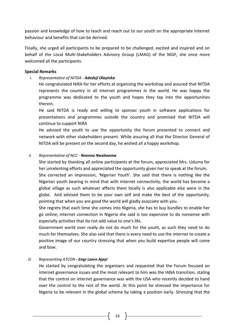passion and knowledge of how to teach and reach out to our youth on the appropriate Internet behaviour and benefits that can be derived.

Finally, she urged all participants to be prepared to be challenged, excited and inspired and on behalf of the Local Multi-Stakeholders Advisory Group (LMAG) of the NIGF, she once more welcomed all the participants.

### **Special Remarks**

*i. Representative of NITDA - Adedeji Olayinka*

He congratulated NiRA for her efforts at organising the workshop and assured that NITDA represents the country in all internet programmes in the world. He was happy the programme was dedicated to the youth and hopes they tap into the opportunities therein.

He said NITDA is ready and willing to sponsor youth in software applications for presentations and programmes outside the country and promised that NITDA will continue to support NiRA

He advised the youth to use the opportunity the forum presented to connect and network with other stakeholders present. While assuring all that the Director General of NITDA will be present on the second day, he wished all a happy workshop.

### *ii. Representative of NCC - Nnenna Nwakanma*

She started by thanking all online participants at the forum, appreciated Mrs. Uduma for her unrelenting efforts and appreciated the opportunity given her to speak at the forum.

She corrected an impression, 'Nigerian Youth'. She said that there is nothing like the Nigerian youth bearing in mind that with internet connectivity, the world has become a global village as such whatever affects them locally is also applicable else were in the globe. And advised them to be your own self and make the best of the opportunity, pointing that when you are good the world will gladly associate with you.

She regrets that each time she comes into Nigeria, she has to buy bundles to enable her go online; internet connection in Nigeria she said is too expensive to do nonsense with especially activities that do not add value to one's life.

Government world over really do not do much for the youth, as such they need to do much for themselves. She also said that there is every need to use the internet to create a positive image of our country stressing that when you build expertise people will come and bow.

## *iii. Representing ATCON - Engr Lanre Ajayi*

He started by congratulating the organisers and requested that the Forum focused on internet governance issues and the most relevant to him was the IANA transition, stating that the control on internet governance was with the USA who recently decided to hand over the control to the rest of the world. At this point he stressed the importance for Nigeria to be relevant in the global scheme by taking a position early. Stressing that the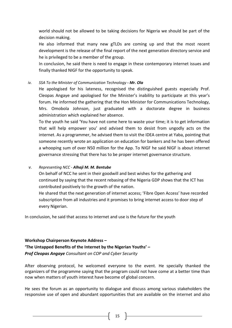world should not be allowed to be taking decisions for Nigeria we should be part of the decision making.

He also informed that many new gTLDs are coming up and that the most recent development is the release of the final report of the next generation directory service and he is privileged to be a member of the group.

In conclusion, he said there is need to engage in these contemporary internet issues and finally thanked NIGF for the opportunity to speak.

### *iv. SSA To the Minister of Communication Technology - Mr. Ola*

He apologised for his lateness, recognised the distinguished guests especially Prof. Cleopas Angaye and apologised for the Minister's inability to participate at this year's forum. He informed the gathering that the Hon Minister for Communications Technology, Mrs. Omobola Johnson, just graduated with a doctorate degree in business administration which explained her absence.

To the youth he said 'You have not come here to waste your time; it is to get information that will help empower you' and advised them to desist from ungodly acts on the internet. As a programmer, he advised them to visit the IDEA centre at Yaba, pointing that someone recently wrote an application on education for bankers and he has been offered a whooping sum of over N50 million for the App. To NIGF he said NIGF is about internet governance stressing that there has to be proper internet governance structure.

### *v. Representing NCC - Alhaji M. M. Bentube*

On behalf of NCC he sent in their goodwill and best wishes for the gathering and continued by saying that the recent rebasing of the Nigeria GDP shows that the ICT has contributed positively to the growth of the nation.

He shared that the next generation of internet access; 'Fibre Open Access' have recorded subscription from all industries and it promises to bring internet access to door step of every Nigerian.

In conclusion, he said that access to internet and use is the future for the youth

# **Workshop Chairperson Keynote Address – 'The Untapped Benefits of the Internet by the Nigerian Youths' –** *Prof Cleopas Angaye Consultant on COP and Cyber Security*

After observing protocol, he welcomed everyone to the event. He specially thanked the organizers of the programme saying that the program could not have come at a better time than now when matters of youth interest have become of global concern.

He sees the forum as an opportunity to dialogue and discuss among various stakeholders the responsive use of open and abundant opportunities that are available on the internet and also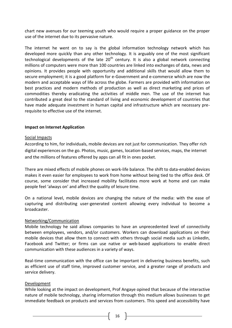chart new avenues for our teeming youth who would require a proper guidance on the proper use of the internet due to its pervasive nature.

The internet he went on to say is the global information technology network which has developed more quickly than any other technology. It is arguably one of the most significant technological developments of the late  $20<sup>th</sup>$  century. It is also a global network connecting millions of computers were more than 100 countries are linked into exchanges of data, news and opinions. It provides people with opportunity and additional skills that would allow them to secure employment; it is a good platform for e-Government and e-commerce which are now the modern and acceptable ways of life across the globe. Farmers are provided with information on best practices and modern methods of production as well as direct marketing and prices of commodities thereby eradicating the activities of middle men. The use of the internet has contributed a great deal to the standard of living and economic development of countries that have made adequate investment in human capital and infrastructure which are necessary prerequisite to effective use of the internet.

### **Impact on Internet Application**

### Social Impacts

According to him, for individuals, mobile devices are not just for communication. They offer rich digital experiences on the go. Photos, music, games, location-based services, maps, the internet and the millions of features offered by apps can all fit in ones pocket.

There are mixed effects of mobile phones on work-life balance. The shift to data-enabled devices makes it even easier for employees to work from home without being tied to the office desk. Of course, some consider that increased mobility facilitates more work at home and can make people feel 'always on' and affect the quality of leisure time.

On a national level, mobile devices are changing the nature of the media: with the ease of capturing and distributing user-generated content allowing every individual to become a broadcaster.

### Networking/Communication

Mobile technology he said allows companies to have an unprecedented level of connectivity between employees, vendors, and/or customers. Workers can download applications on their mobile devices that allow them to connect with others through social media such as LinkedIn, Facebook and Twitter; or firms can use native or web-based applications to enable direct communication with these audiences in a variety of ways.

Real-time communication with the office can be important in delivering business benefits, such as efficient use of staff time, improved customer service, and a greater range of products and service delivery.

### Development

While looking at the impact on development, Prof Angaye opined that because of the interactive nature of mobile technology, sharing information through this medium allows businesses to get immediate feedback on products and services from customers. This speed and accessibility have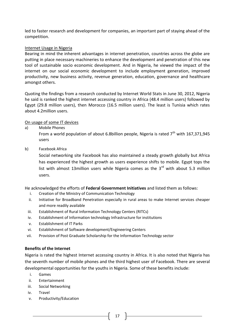led to faster research and development for companies, an important part of staying ahead of the competition.

### Internet Usage in Nigeria

Bearing in mind the inherent advantages in internet penetration, countries across the globe are putting in place necessary machineries to enhance the development and penetration of this new tool of sustainable socio economic development. And in Nigeria, he viewed the impact of the internet on our social economic development to include employment generation, improved productivity, new business activity, revenue generation, education, governance and healthcare amongst others.

Quoting the findings from a research conducted by Internet World Stats in June 30, 2012, Nigeria he said is ranked the highest internet accessing country in Africa (48.4 million users) followed by Egypt (29.8 million users), then Morocco (16.5 million users). The least is Tunisia which rates about 4.2million users.

## On usage of some IT devices

a) Mobile Phones

From a world population of about 6.8billion people, Nigeria is rated  $7<sup>th</sup>$  with 167,371,945 users

b) Facebook Africa

Social networking site Facebook has also maintained a steady growth globally but Africa has experienced the highest growth as users experience shifts to mobile. Egypt tops the list with almost 13million users while Nigeria comes as the  $3<sup>rd</sup>$  with about 5.3 million users.

He acknowledged the efforts of **Federal Government Initiatives** and listed them as follows:

- i. Creation of the Ministry of Communication Technology
- ii. Initiative for Broadband Penetration especially in rural areas to make Internet services cheaper and more readily available
- iii. Establishment of Rural Information Technology Centers (RITCs)
- iv. Establishment of Information technology Infrastructure for institutions
- v. Establishment of IT Parks
- vi. Establishment of Software development/Engineering Centers
- vii. Provision of Post Graduate Scholarship for the Information Technology sector

## **Benefits of the Internet**

Nigeria is rated the highest Internet accessing country in Africa. It is also noted that Nigeria has the seventh number of mobile phones and the third highest user of Facebook. There are several developmental opportunities for the youths in Nigeria. Some of these benefits include:

- i. Games
- ii. Entertainment
- iii. Social Networking
- iv. Travel
- v. Productivity/Education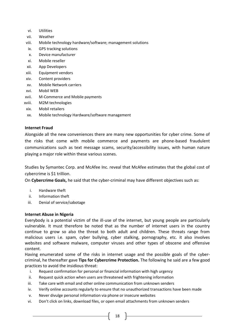- vi. Utilities
- vii. Weather
- viii. Mobile technology hardware/software; management solutions
- ix. GPS tracking solutions
- x. Device manufacturer
- xi. Mobile reseller
- xii. App Developers
- xiii. Equipment vendors
- xiv. Content providers
- xv. Mobile Network carriers
- xvi. Mobil WEB
- xvii. M-Commerce and Mobile payments
- xviii. M2M technologies
- xix. Mobil retailers
- xx. Mobile technology Hardware/software management

### **Internet Fraud**

Alongside all the new conveniences there are many new opportunities for cyber crime. Some of the risks that come with mobile commerce and payments are phone-based fraudulent communications such as text message scams, security/accessibility issues, with human nature playing a major role within these various scenes.

Studies by Symantec Corp. and McAfee Inc. reveal that McAfee estimates that the global cost of cybercrime is \$1 trillion.

On **Cybercrime Goals,** he said that the cyber-criminal may have different objectives such as:

- i. Hardware theft
- ii. Information theft
- iii. Denial of service/sabotage

### **Internet Abuse in Nigeria**

Everybody is a potential victim of the ill-use of the internet, but young people are particularly vulnerable. It must therefore be noted that as the number of internet users in the country continue to grow so also the threat to both adult and children. These threats range from malicious users i.e. spam, cyber bullying, cyber stalking, pornography, etc. it also involves websites and software malware, computer viruses and other types of obscene and offensive content.

Having enumerated some of the risks in internet usage and the possible goals of the cybercriminal, he thereafter gave **Tips for Cybercrime Protection.** The following he said are a few good practices to avoid the insidious threat:

- i. Request confirmation for personal or financial information with high urgency
- ii. Request quick action when users are threatened with frightening information
- iii. Take care with email and other online communication from unknown senders
- iv. Verify online accounts regularly to ensure that no unauthorized transactions have been made
- v. Never divulge personal information via phone or insecure websites
- vi. Don't click on links, download files, or open email attachments from unknown senders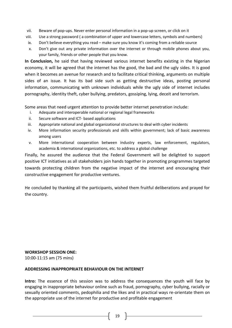- vii. Beware of pop-ups. Never enter personal information in a pop-up screen, or click on it
- viii. Use a strong password ( a combination of upper and lowercase letters, symbols and numbers)
- ix. Don't believe everything you read make sure you know it's coming from a reliable source
- x. Don't give out any private information over the internet or through mobile phones about you, your family, friends or other people that you know.

**In Conclusion,** he said that having reviewed various internet benefits existing in the Nigerian economy, it will be agreed that the internet has the good, the bad and the ugly sides. It is good when it becomes an avenue for research and to facilitate critical thinking, arguments on multiple sides of an issue. It has its bad side such as getting destructive ideas, posting personal information, communicating with unknown individuals while the ugly side of internet includes pornography, identity theft, cyber bullying, predators, gossiping, lying, deceit and terrorism.

Some areas that need urgent attention to provide better internet penetration include:

- i. Adequate and interoperable national or regional legal frameworks
- ii. Secure software and ICT- based applications
- iii. Appropriate national and global organizational structures to deal with cyber incidents
- iv. More information security professionals and skills within government; lack of basic awareness among users
- v. More international cooperation between industry experts, law enforcement, regulators, academia & international organizations, etc. to address a global challenge

Finally, he assured the audience that the Federal Government will be delighted to support positive ICT initiatives as all stakeholders join hands together in promoting programmes targeted towards protecting children from the negative impact of the internet and encouraging their constructive engagement for productive ventures.

He concluded by thanking all the participants, wished them fruitful deliberations and prayed for the country.

### **WORKSHOP SESSION ONE:**

10:00-11:15 am (75 mins)

### **ADDRESSING INAPPROPRIATE BEHAVIOUR ON THE INTERNET**

**Intro:** The essence of this session was to address the consequences the youth will face by engaging in inappropriate behaviour online such as fraud, pornography, cyber bullying, racially or sexually oriented comments, pedophilia and the likes and in practical ways re-orientate them on the appropriate use of the internet for productive and profitable engagement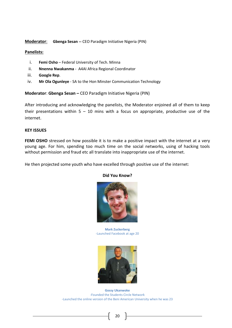### **Moderator**: **Gbenga Sesan --** CEO Paradigm Initiative Nigeria (PIN)

### **Panelists:**

- i. **Femi Osho** Federal University of Tech. Minna
- ii. **Nnenna Nwakanma**  A4AI Africa Regional Coordinator
- iii. **Google Rep**.
- iv. **Mr Ola Ogunleye**  SA to the Hon Minster Communication Technology

**Moderator**: **Gbenga Sesan –** CEO Paradigm Initiative Nigeria (PIN)

After introducing and acknowledging the panelists, the Moderator enjoined all of them to keep their presentations within  $5 - 10$  mins with a focus on appropriate, productive use of the internet.

### **KEY ISSUES**

**FEMI OSHO** stressed on how possible it is to make a positive impact with the internet at a very young age. For him, spending too much time on the social networks, using of hacking tools without permission and fraud etc all translate into inappropriate use of the internet.

He then projected some youth who have excelled through positive use of the internet:



#### **Did You Know?**

**Mark Zuckerberg** -Launched Facebook at age 20



**Gossy Ukanwoke** -Founded the Students Circle Network -Launched the online version of the Beni American University when he was 23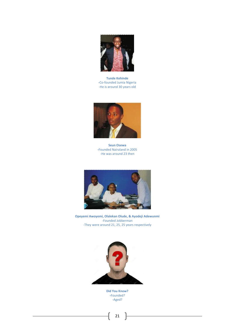

**Tunde Kehinde -**Co-founded Jumia Nigeria -He is around 30 years old



**Seun Osewa -**Founded Nairaland in 2005 -He was around 23 then



**Opeyemi Awoyemi, Olalekan Olude, & Ayodeji Adewunmi** -Founded Jobberman -They were around 21, 25, 25 years respectively



**Did You Know? -**Founded? -Aged?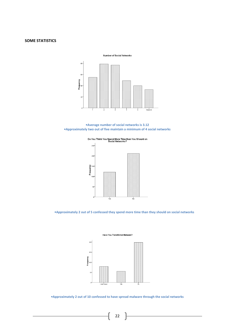#### **SOME STATISTICS**

Number of Social Networks



**•Average number of social networks is 3.12 •Approximately two out of five maintain a minimum of 4 social networks**



Do You Think You Spend More Time than You Should on<br>Social Networks?

**•Approximately 2 out of 5 confessed they spend more time than they should on social networks**





**•Approximately 2 out of 10 confessed to have spread malware through the social networks**

22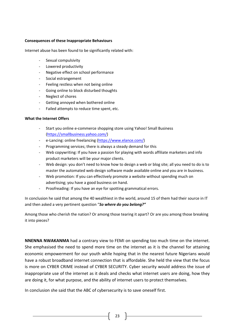#### **Consequences of these Inappropriate Behaviours**

Internet abuse has been found to be significantly related with:

- Sexual compulsivity
- Lowered productivity
- Negative effect on school performance
- Social estrangement
- Feeling restless when not being online
- Going online to block disturbed thoughts
- Neglect of chores
- Getting annoyed when bothered online
- Failed attempts to reduce time spent, etc.

### **What the Internet Offers**

- Start you online e-commerce shopping store using Yahoo! Small Business [\(https://smallbusiness.yahoo.com/\)](https://smallbusiness.yahoo.com/)
- e-Lancing: online freelancing [\(https://www.elance.com/\)](https://www.elance.com/)
- Programming services; there is always a steady demand for this
- Web copywriting: If you have a passion for playing with words affiliate marketers and info product marketers will be your major clients.
- Web design: you don't need to know how to design a web or blog site; all you need to do is to master the automated web design software made available online and you are in business.
- Web promotion: If you can effectively promote a website without spending much on advertising; you have a good business on hand.
- Proofreading: If you have an eye for spotting grammatical errors.

In conclusion he said that among the 40 wealthiest in the world, around 15 of them had their source in IT and then asked a very pertinent question "*So where do you belong?"*

Among those who cherish the nation? Or among those tearing it apart? Or are you among those breaking it into pieces?

**NNENNA NWAKANMA** had a contrary view to FEMI on spending too much time on the internet. She emphasised the need to spend more time on the internet as it is the channel for attaining economic empowerment for our youth while hoping that in the nearest future Nigerians would have a robust broadband internet connection that is affordable. She held the view that the focus is more on CYBER CRIME instead of CYBER SECURITY. Cyber security would address the issue of inappropriate use of the internet as it deals and checks what internet users are doing, how they are doing it, for what purpose, and the ability of internet users to protect themselves.

In conclusion she said that the ABC of cybersecurity is to save oneself first.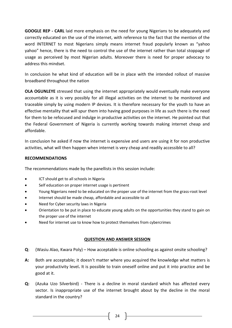**GOOGLE REP - CARL** laid more emphasis on the need for young Nigerians to be adequately and correctly educated on the use of the internet, with reference to the fact that the mention of the word INTERNET to most Nigerians simply means internet fraud popularly known as "yahoo yahoo" hence, there is the need to control the use of the internet rather than total stoppage of usage as perceived by most Nigerian adults. Moreover there is need for proper advocacy to address this mindset.

In conclusion he what kind of education will be in place with the intended rollout of massive broadband throughout the nation

**OLA OGUNLEYE** stressed that using the internet appropriately would eventually make everyone accountable as it is very possibly for all illegal activities on the internet to be monitored and traceable simply by using modern IP devices. It is therefore necessary for the youth to have an effective mentality that will spur them into having good purposes in life as such there is the need for them to be refocused and indulge in productive activities on the internet. He pointed out that the Federal Government of Nigeria is currently working towards making internet cheap and affordable.

In conclusion he asked if now the internet is expensive and users are using it for non productive activities, what will then happen when internet is very cheap and readily accessible to all?

### **RECOMMENDATIONS**

The recommendations made by the panellists in this session include:

- ICT should get to all schools in Nigeria
- Self education on proper internet usage is pertinent
- Young Nigerians need to be educated on the proper use of the internet from the grass-root level
- Internet should be made cheap, affordable and accessible to all
- Need for Cyber security laws in Nigeria
- Orientation to be put in place to educate young adults on the opportunities they stand to gain on the proper use of the internet
- Need for internet use to know how to protect themselves from cybercrimes

### **QUESTION AND ANSWER SESSION**

- **Q**: (Wasiu Alao, Kwara Poly) How acceptable is online schooling as against onsite schooling?
- **A:** Both are acceptable; it doesn't matter where you acquired the knowledge what matters is your productivity level**.** It is possible to train oneself online and put it into practice and be good at it.
- **Q:** (Azuka Uzo Silverbird) There is a decline in moral standard which has affected every sector. Is inappropriate use of the internet brought about by the decline in the moral standard in the country?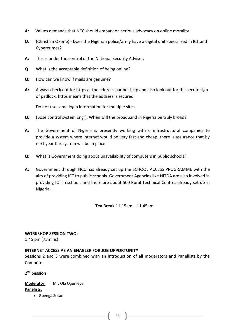- **A:** Values demands that NCC should embark on serious advocacy on online morality
- **Q:** (Christian Okorie) Does the Nigerian police/army have a digital unit specialized in ICT and Cybercrimes?
- **A:** This is under the control of the National Security Adviser.
- **Q** What is the acceptable definition of being online?
- **Q:** How can we know if mails are genuine?
- **A:** Always check out for https at the address bar not http and also look out for the secure sign of padlock. https means that the address is secured

Do not use same login information for multiple sites.

- **Q:** (Bose control system Engr). When will the broadband in Nigeria be truly broad?
- **A:** The Government of Nigeria is presently working with 6 infrastructural companies to provide a system where internet would be very fast and cheap, there is assurance that by next year this system will be in place.
- **Q:** What is Government doing about unavailability of computers in public schools?
- **A:** Government through NCC has already set up the SCHOOL ACCESS PROGRAMME with the aim of providing ICT to public schools. Government Agencies like NITDA are also involved in providing ICT in schools and there are about 500 Rural Technical Centres already set up in Nigeria.

**Tea Break** 11:15am – 11:45am

### **WORKSHOP SESSION TWO:**

1:45 pm (75mins)

### **INTERNET ACCESS AS AN ENABLER FOR JOB OPPORTUNITY**

Sessions 2 and 3 were combined with an introduction of all moderators and Panellists by the Compére.

## **2 nd Session**

# **Moderator:** Mr. Ola Ogunleye

**Panelists:**

Gbenga Sesan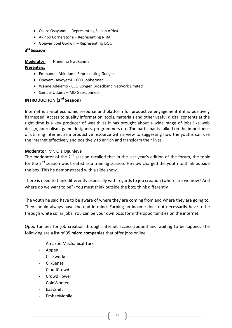- Osaze Osayande Representing Silicon Africa
- Akinbo Cornerstone Representing NIRA
- Gogwim Joel Godwin Representing ISOC

## **3 rd Session**

### **Moderator:** Nnnenna Nwakanma

### **Presenters:**

- Emmanuel Abiodun Representing Google
- Opeyemi Awoyemi CEO Jobberman
- Wande Adelemo CEO Oxygen Broadband Network Limited
- Samuel Uduma MD Geekconnect

## **INTRODUCTION (2nd Session)**

Internet is a vital economic resource and platform for productive engagement if it is positively harnessed. Access to quality information, tools, materials and other useful digital contents at the right time is a key producer of wealth as it has brought about a wide range of jobs like web design, journalism, game designers, programmers etc. The participants talked on the importance of utilizing internet as a productive resource with a view to suggesting how the youths can use the internet effectively and positively to enrich and transform their lives.

### **Moderator**: Mr. Ola Ogunleye

The moderator of the  $2^{nd}$  session recalled that in the last year's edition of the forum, the topic for the  $2^{nd}$  session was treated as a training session. He now charged the youth to think outside the box. This he demonstrated with a slide show.

There is need to think differently especially with regards to job creation (where are we now? And where do we want to be?) You must think outside the box; think differently

The youth he said have to be aware of where they are coming from and where they are going to. They should always have the end in mind. Earning an income does not necessarily have to be through white collar jobs. You can be your own boss form the opportunities on the internet.

Opportunities for job creation through internet access abound and waiting to be tapped. The following are a list of **35 micro companies** that offer jobs online.

- Amazon Mechanical Turk
- Appen
- Clickworker
- ClixSense
- CloudCrowd
- CrowdFlower
- **CoinWorker**
- **EasyShift**
- EmbeeMobile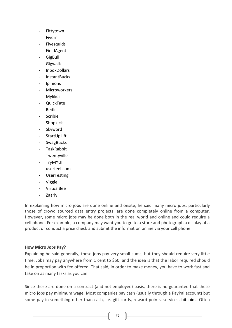- **Fittytown**
- **Fiverr**
- **Fivesquids**
- **FieldAgent**
- **GigBull**
- **Gigwalk**
- InboxDollars
- InstantBucks
- **Ipinions**
- **Microworkers**
- **Mylikes**
- QuickTate
- Redlr
- **Scribie**
- **Shopkick**
- Skyword
- **StartUpLift**
- **SwagBucks**
- TaskRabbit
- **Twentyville**
- TryMYUI
- userfeel.com
- **UserTesting**
- **Viggle**
- VirtualBee
- Zaarly

In explaining how micro jobs are done online and onsite, he said many micro jobs, particularly those of crowd sourced data entry projects, are done completely online from a computer. However, some micro jobs may be done both in the real world and online and could require a cell phone. For example, a company may want you to go to a store and photograph a display of a product or conduct a price check and submit the information online via your cell phone.

### **How Micro Jobs Pay?**

Explaining he said generally, these jobs pay very small sums, but they should require very little time. Jobs may pay anywhere from 1 cent to \$50, and the idea is that the labor required should be in proportion with fee offered. That said, in order to make money, you have to work fast and take on as many tasks as you can.

Since these are done on a contract (and not employee) basis, there is no guarantee that these micro jobs pay minimum wage. Most companies pay cash (usually through a PayPal account) but some pay in something other than cash, i.e. gift cards, reward points, services, [bitcoins.](http://workathomemoms.about.com/od/Micro-Jobs-Crowdsourcing/g/What-Is-A-Bitcoin.htm) Often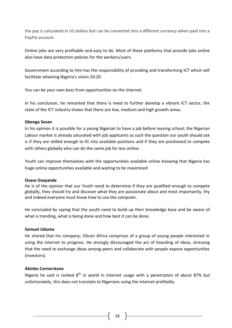the pay is calculated in US dollars but can be converted into a different currency when paid into a PayPal account.

Online jobs are very profitable and easy to do. Most of these platforms that provide jobs online also have data protection policies for the workers/users.

Government according to him has the responsibility of providing and transforming ICT which will facilitate attaining Nigeria's vision 20:20

You can be your own boss from opportunities on the internet.

In his conclusion, he remarked that there is need to further develop a vibrant ICT sector, the state of the ICT industry shows that there are low, medium and high growth areas.

## **Gbenga Sesan**

In his opinion it is possible for a young Nigerian to have a job before leaving school; the Nigerian Labour market is already saturated with job applicants as such the question our youth should ask is if they are skilled enough to fit into available positions and if they are positioned to compete with others globally who can do the same job for less online.

Youth can improve themselves with the opportunities available online knowing that Nigeria has huge online opportunities available and waiting to be maximized

## **Osaze Osayande**

He is of the opinion that our Youth need to determine if they are qualified enough to compete globally, they should try and discover what they are passionate about and most importantly, thy and indeed everyone must know how to use the computer.

He concluded by saying that the youth need to build up their knowledge base and be aware of what is trending, what is being done and how best it can be done.

## **Samuel Uduma**

He shared that his company; Silicon Africa comprises of a group of young people interested in using the internet to progress. He strongly discouraged the act of hoarding of ideas, stressing that the need to exchange ideas among peers and collaborate with people expose opportunities (investors).

## **Akinbo Cornerstone**

Nigeria he said is ranked  $8<sup>th</sup>$  in world in internet usage with a penetration of about 87% but unfortunately, this does not translate to Nigerians using the internet profitably.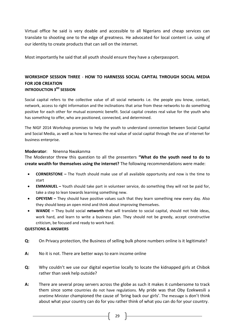Virtual office he said is very doable and accessible to all Nigerians and cheap services can translate to shooting one to the edge of greatness. He advocated for local content i.e. using of our identity to create products that can sell on the internet.

Most importantly he said that all youth should ensure they have a cyberpassport.

## **WORKSHOP SESSION THREE** - **HOW TO HARNESSS SOCIAL CAPITAL THROUGH SOCIAL MEDIA FOR JOB CREATION INTRODUCTION 3 RD SESSION**

Social capital refers to the collective value of all social networks i.e. the people you know, contact, network, access to right information and the inclinations that arise from these networks to do something positive for each other for mutual economic benefit. Social capital creates real value for the youth who has something to offer, who are positioned, connected, and determined.

The NIGF 2014 Workshop promises to help the youth to understand connection between Social Capital and Social Media, as well as how to harness the real value of social capital through the use of internet for business enterprise.

### **Moderator**: Nnenna Nwakanma

The Moderator threw this question to all the presenters **"What do the youth need to do to create wealth for themselves using the internet?** The following recommendations were made:

- **CORNERSTONE –** The Youth should make use of all available opportunity and now is the time to start
- **EMMANUEL –** Youth should take part in volunteer service, do something they will not be paid for, take a step to lean towards learning something new.
- **OPEYEMI –** They should have positive values such that they learn something new every day. Also they should keep an open mind and think about improving themselves.
- **WANDE –** They build social **networth** that will translate to social capital, should not hide ideas, work hard, and learn to write a business plan. They should not be greedy, accept constructive criticism, be focused and ready to work hard.

### **QUESTIONS & ANSWERS**

- **Q:** On Privacy protection, the Business of selling bulk phone numbers online is it legitimate?
- **A:** No it is not. There are better ways to earn income online
- **Q:** Why couldn't we use our digital expertise locally to locate the kidnapped girls at Chibok rather than seek help outside?
- **A:** There are several proxy servers across the globe as such it makes it cumbersome to track them since some countries do not have regulations. My pride was that Oby Ezekwesili a onetime Minister championed the cause of 'bring back our girls'. The message is don't think about what your country can do for you rather think of what you can do for your country.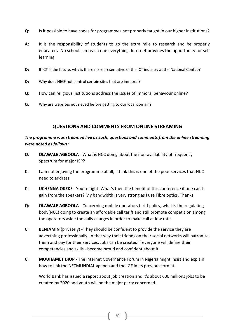- **Q:** Is it possible to have codes for programmes not properly taught in our higher institutions?
- **A:** It is the responsibility of students to go the extra mile to research and be properly educated**.** No school can teach one everything. Internet provides the opportunity for self learning**.**
- **Q:** If ICT is the future, why is there no representative of the ICT industry at the National Confab?
- **Q:** Why does NIGF not control certain sites that are immoral?
- **Q:** How can religious institutions address the issues of immoral behaviour online?
- **Q:** Why are websites not sieved before getting to our local domain?

## **QUESTIONS AND COMMENTS FROM ONLINE STREAMING**

## *The programme was streamed live as such; questions and comments from the online streaming were noted as follows:*

- **Q: OLAWALE AGBOOLA** What is NCC doing about the non-availability of frequency Spectrum for major ISP?
- **C:** I am not enjoying the programme at all, I think this is one of the poor services that NCC need to address
- **C: UCHENNA OKEKE** You're right. What's then the benefit of this conference if one can't gain from the speakers? My bandwidth is very strong as I use Fibre optics. Thanks
- **Q: OLAWALE AGBOOLA** Concerning mobile operators tariff policy, what is the regulating body(NCC) doing to create an affordable call tariff and still promote competition among the operators aside the daily charges in order to make call at low rate.
- **C**: **BENJAMIN** (privately) They should be confident to provide the service they are advertising professionally. In that way their friends on their social networks will patronize them and pay for their services. Jobs can be created if everyone will define their competencies and skills - become proud and confident about it
- **C**: **MOUHAMET DIOP** The Internet Governance Forum in Nigeria might insist and explain how to link the NETMUNDIAL agenda and the IGF in its previous format.

World Bank has issued a report about job creation and it's about 600 millions jobs to be created by 2020 and youth will be the major party concerned.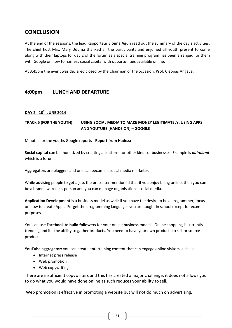# **CONCLUSION**

At the end of the sessions, the lead Rapportéur **Elonna Aguh** read out the summary of the day's activities. The chief host Mrs. Mary Uduma thanked all the participants and enjoined all youth present to come along with their laptops for day 2 of the forum as a special training program has been arranged for them with Google on how to harness social capital with opportunities available online.

At 3:45pm the event was declared closed by the Chairman of the occasion, Prof. Cleopas Angaye.

## **4:00pm LUNCH AND DEPARTURE**

### **DAY 2 - 10TH JUNE 2014**

## **TRACK 6 (FOR THE YOUTH): USING SOCIAL MEDIA TO MAKE MONEY LEGITIMATELY: USING APPS AND YOUTUBE (HANDS ON) – GOOGLE**

Minutes for the youths Google reports - **Report from Hadeza**

**Social capital** can be monetized by creating a platform for other kinds of businesses. Example is *nairaland* which is a forum.

Aggregators are bloggers and one can become a social media marketer.

While advising people to get a job, the presenter mentioned that if you enjoy being online, then you can be a brand awareness person and you can manage organisations' social media.

**Application Development** is a business model as well: If you have the desire to be a programmer, focus on how to create Apps. Forget the programming languages you are taught in school except for exam purposes.

You can **use Facebook to build followers** for your online business models: Online shopping is currently trending and it's the ability to gather products. You need to have your own products to sell or source products.

**YouTube aggregator:** you can create entertaining content that can engage online visitors such as:

- Internet press release
- Web promotion
- Web copywriting

There are insufficient copywriters and this has created a major challenge; it does not allows you to do what you would have done online as such reduces your ability to sell.

Web promotion is effective in promoting a website but will not do much on advertising.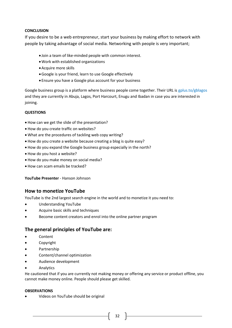### **CONCLUSION**

If you desire to be a web entrepreneur, start your business by making effort to network with people by taking advantage of social media. Networking with people is very important;

- Join a team of like-minded people with common interest.
- Work with established organizations
- Acquire more skills
- Google is your friend, learn to use Google effectively
- Ensure you have a Google plus account for your business

Google business group is a platform where business people come together. Their URL is gplus.to/gblagos and they are currently in Abuja, Lagos, Port Harcourt, Enugu and Ibadan in case you are interested in joining.

### **QUESTIONS**

- How can we get the slide of the presentation?
- How do you create traffic on websites?
- What are the procedures of tackling web copy writing?
- How do you create a website because creating a blog is quite easy?
- How do you expand the Google business group especially in the north?
- How do you host a website?
- How do you make money on social media?
- How can scam emails be tracked?

**YouTube Presenter** - Hanson Johnson

## **How to monetize YouTube**

YouTube is the 2nd largest search engine in the world and to monetize it you need to:

- Understanding YouTube
- Acquire basic skills and techniques
- Become content creators and enrol into the online partner program

## **The general principles of YouTube are:**

- Content
- Copyright
- Partnership
- Content/channel optimization
- Audience development
- Analytics

He cautioned that if you are currently not making money or offering any service or product offline, you cannot make money online. People should please get skilled.

#### **OBSERVATIONS**

Videos on YouTube should be original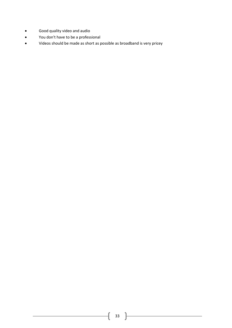- Good quality video and audio
- You don't have to be a professional
- Videos should be made as short as possible as broadband is very pricey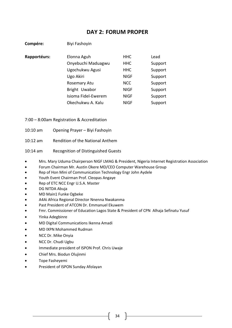# **DAY 2: FORUM PROPER**

| Compére:     | Biyi Fashoyin       |             |         |
|--------------|---------------------|-------------|---------|
| Rapportéurs: | Elonna Aguh         | <b>HHC</b>  | Lead    |
|              | Onyebuchi Maduagwu  | <b>HHC</b>  | Support |
|              | Ugochukwu Agusi     | <b>HHC</b>  | Support |
|              | Ugo Akiri           | <b>NIGF</b> | Support |
|              | Rosemary Atu        | <b>NCC</b>  | Support |
|              | Bright Uwabor       | <b>NIGF</b> | Support |
|              | Isioma Fidel-Ewerem | <b>NIGF</b> | Support |
|              | Okechukwu A. Kalu   | <b>NIGF</b> | Support |
|              |                     |             |         |

7:00 – 8:00am Registration & Accreditation

10:10 am Opening Prayer – Biyi Fashoyin

10:12 am Rendition of the National Anthem

10:14 am Recognition of Distinguished Guests

- Mrs. Mary Uduma Chairperson NIGF LMAG & President, Nigeria Internet Registration Association
- Forum Chairman Mr. Austin Okere MD/CEO Computer Warehouse Group
- Rep of Hon Mini of Communication Technology Engr John Aydele
- Youth Event Chairman Prof. Cleopas Angaye
- Rep of ETC NCC Engr U.S.A. Master
- DG NITDA Abuja
- MD Main1 Funke Ogbeke
- A4Ai Africa Regional Director Nnenna Nwakanma
- Past President of ATCON Dr. Emmanuel Ekuwem
- Fmr. Commissioner of Education Lagos State & President of CPN Alhaja Sefinatu Yusuf
- Yinka Adegbinre
- MD Digital Communications Ikenna Amadi
- MD IXPN Mohammed Rudman
- NCC Dr. Mike Onyia
- NCC Dr. Chudi Ugbu
- Immediate president of ISPON Prof. Chris Uwaje
- Chief Mrs. Biodun Olujinmi
- Tope Fasheyemi
- President of ISPON Sunday Afolayan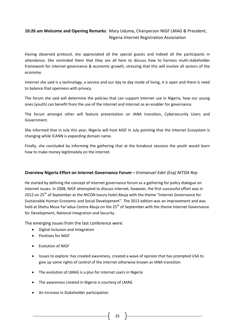## **10:26 am Welcome and Opening Remarks**: Mary Uduma, Chairperson NIGF LMAG & President, Nigeria Internet Registration Association

Having observed protocol, she appreciated all the special guests and indeed all the participants in attendance. She reminded them that they are all here to discuss how to harness multi-stakeholder framework for internet governance & economic growth, stressing that this will involve all sectors of the economy.

Internet she said is a technology, a service and our day to day mode of living, it is open and there is need to balance that openness with privacy.

The forum she said will determine the policies that can support internet use in Nigeria, how our young ones (youth) can benefit from the use of the internet and internet as an enabler for governance.

The forum amongst other will feature presentation on IANA transition, Cybersecurity Users and Government.

She informed that in July this year, Nigeria will host AIGF in July pointing that the Internet Ecosystem is changing while ICANN is expanding domain name.

Finally, she concluded by informing the gathering that at the breakout sessions the youth would learn how to make money legitimately on the internet.

## **Overview Nigeria Effort on Internet Governance Forum –** *Emmanuel Edet (Esq) NITDA Rep*

He started by defining the concept of internet governance forum as a gathering for policy dialogue on internet issues. In 2008, NIGF attempted to discuss internet, however, the first successful effort was in 2012 on 25<sup>th</sup> of September at the NICON luxury hotel Abuja with the theme "Internet Governance for Sustainable Human Economic and Social Development". The 2013 edition was an improvement and was held at Shehu Musa Yar'adua Centre Abuja on the 25<sup>th</sup> of September with the theme Internet Governance for Development, National Integration and Security.

The emerging issues from the last conference were:

- Digital inclusion and Integration
- Positives for NIGF
- Evolution of NIGF
- Issues to explore: has created awareness, created a wave of opinion that has prompted USA to give up some rights of control of the internet otherwise known as IANA transition
- The evolution of LMAG is a plus for Internet users in Nigeria
- The awareness created in Nigeria is courtesy of LMAG
- An increase in Stakeholder participation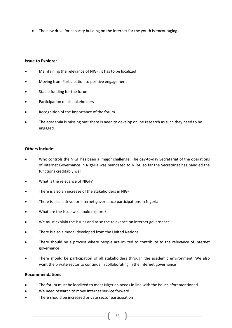• The new drive for capacity building on the internet for the youth is encouraging

### **Issue to Explore:**

- Maintaining the relevance of NIGF; it has to be localized
- Moving from Participation to positive engagement
- Stable funding for the forum
- Participation of all stakeholders
- Recognition of the importance of the forum
- The academia is missing out; there is need to develop online research as such they need to be engaged

### **Others include:**

- Who controls the NIGF has been a major challenge; The day-to-day Secretariat of the operations of Internet Governance in Nigeria was mandated to NIRA, so far the Secretariat has handled the functions creditably well
- What is the relevance of NIGF?
- There is also an increase of the stakeholders in NIGF
- There is also a drive for internet governance participations in Nigeria
- What are the issue we should explore?
- We must explain the issues and raise the relevance on internet governance
- There is also a model developed from the United Nations
- There should be a process where people are invited to contribute to the relevance of internet governance
- There should be participation of all stakeholders through the academic environment. We also want the private sector to continue in collaborating in the internet governance

#### **Recommendations**

- The forum must be localized to meet Nigerian needs in line with the issues aforementioned
- We need research to move Internet service forward
- There should be increased private sector participation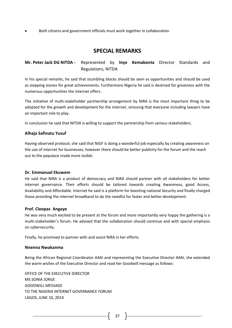Both citizens and government officials must work together in collaboration

## **SPECIAL REMARKS**

## **Mr. Peter Jack DG NITDA -** Represented by **Inye Kemabonta** Director Standards and Regulations, NITDA

In his special remarks, he said that stumbling blocks should be seen as opportunities and should be used as stepping stones for great achievements. Furthermore Nigeria he said is destined for greatness with the numerous opportunities the internet offers.

The initiative of multi-stakeholder partnership arrangement by NiRA is the most important thing to be adopted for the growth and development for the internet, stressing that everyone including lawyers have an important role to play.

In conclusion he said that NITDA is willing to support the partnership from various stakeholders.

### **Alhaja Safinatu Yusuf**

Having observed protocol, she said that NIGF is doing a wonderful job especially by creating awareness on the use of internet for businesses; however there should be better publicity for the forum and the reach out to the populace made more visible.

#### **Dr. Emmanuel Ekuwem**

He said that NiRA is a product of democracy and NiRA should partner with all stakeholders for better internet governance. Their efforts should be tailored towards creating Awareness, good Access, Availability and Affordable. Internet he said is a platform for boosting national Security and finally charged those providing the internet broadband to do the needful for faster and better development.

### **Prof. Cleopas Angaye**

He was very much excited to be present at the forum and more importantly very happy the gathering is a multi-stakeholder's forum. He advised that the collaboration should continue and with special emphasis on cybersecurity.

Finally, he promised to partner with and assist NiRA in her efforts.

### **Nnenna Nwakanma**

Being the African Regional Coordinator A4AI and representing the Executive Director A4AI, she extended the warm wishes of the Executive Director and read her Goodwill message as follows:

OFFICE OF THE EXECUTIVE DIRECTOR MS SONIA JORGE GOODWILL MESSAGE TO THE NIGERIA INTERNET GOVERNANCE FORUM LAGOS, JUNE 10, 2014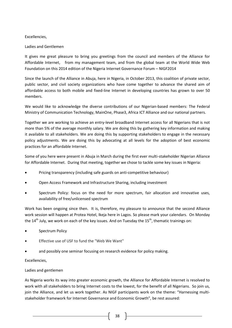### Excellencies,

### Ladies and Gentlemen

It gives me great pleasure to bring you greetings from the council and members of the Alliance for Affordable Internet, from my management team, and from the global team at the World Wide Web Foundation on this 2014 edition of the Nigeria Internet Governance Forum – NIGF2014

Since the launch of the Alliance in Abuja, here in Nigeria, in October 2013, this coalition of private sector, public sector, and civil society organizations who have come together to advance the shared aim of affordable access to both mobile and fixed-line Internet in developing countries has grown to over 50 members.

We would like to acknowledge the diverse contributions of our Nigerian-based members: The Federal Ministry of Communication Technology, MainOne, Phase3, Africa ICT Alliance and our national partners.

Together we are working to achieve an entry-level broadband Internet access for all Nigerians that is not more than 5% of the average monthly salary. We are doing this by gathering key information and making it available to all stakeholders. We are doing this by supporting stakeholders to engage in the necessary policy adjustments. We are doing this by advocating at all levels for the adoption of best economic practices for an affordable Internet.

Some of you here were present in Abuja in March during the first ever multi-stakeholder Nigerian Alliance for Affordable Internet. During that meeting, together we chose to tackle some key issues in Nigeria:

- Pricing transparency (including safe guards on anti-competitive behaviour)
- Open Access Framework and Infrastructure Sharing, including investment
- Spectrum Policy: focus on the need for more spectrum, fair allocation and innovative uses, availability of free/unlicensed spectrum

Work has been ongoing since then. It is, therefore, my pleasure to announce that the second Alliance work session will happen at Protea Hotel, Ikeja here in Lagos. So please mark your calendars. On Monday the  $14<sup>th</sup>$  July, we work on each of the key issues. And on Tuesday the  $15<sup>th</sup>$ , thematic trainings on:

- Spectrum Policy
- Effective use of USF to fund the "Web We Want"
- and possibly one seminar focusing on research evidence for policy making.

Excellencies,

### Ladies and gentlemen

As Nigeria works its way into greater economic growth, the Alliance for Affordable Internet is resolved to work with all stakeholders to bring Internet costs to the lowest, for the benefit of all Nigerians. So join us, join the Alliance, and let us work together. As NIGF participants work on the theme: "Harnessing multistakeholder framework for Internet Governance and Economic Growth", be rest assured: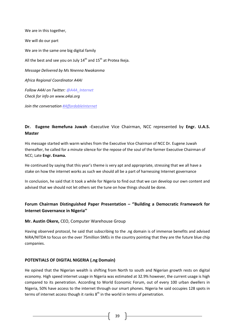We are in this together, We will do our part We are in the same one big digital family All the best and see you on July  $14^{th}$  and  $15^{th}$  at Protea Ikeja. *Message Delivered by Ms Nnenna Nwakanma Africa Regional Coordinator A4AI Follow A4AI on Twitter: @A4A\_Internet Check for info on [www.a4ai.org](http://www.a4ai.org/)*

*Join the conversation #AffordableInternet*

## **Dr. Eugene Ikemefuna Juwah -**Executive Vice Chairman, NCC represented by **Engr. U.A.S. Master**

His message started with warm wishes from the Executive Vice Chairman of NCC Dr. Eugene Juwah thereafter, he called for a minute silence for the repose of the soul of the former Executive Chairman of NCC; Late **Engr. Enama.**

He continued by saying that this year's theme is very apt and appropriate, stressing that we all have a stake on how the internet works as such we should all be a part of harnessing Internet governance

In conclusion, he said that it took a while for Nigeria to find out that we can develop our own content and advised that we should not let others set the tune on how things should be done.

## **Forum Chairman Distinguished Paper Presentation – ''Building a Democratic Framework for Internet Governance in Nigeria''**

## **Mr. Austin Okere,** CEO, Computer Warehouse Group

Having observed protocol, he said that subscribing to the .ng domain is of immense benefits and advised NiRA/NITDA to focus on the over 75million SMEs in the country pointing that they are the future blue chip companies.

### **POTENTIALS OF DIGITAL NIGERIA (.ng Domain)**

He opined that the Nigerian wealth is shifting from North to south and Nigerian growth rests on digital economy. High speed internet usage in Nigeria was estimated at 32.9% however, the current usage is high compared to its penetration. According to World Economic Forum, out of every 100 urban dwellers in Nigeria, 50% have access to the internet through our smart phones. Nigeria he said occupies 128 spots in terms of internet access though it ranks  $8<sup>th</sup>$  in the world in terms of penetration.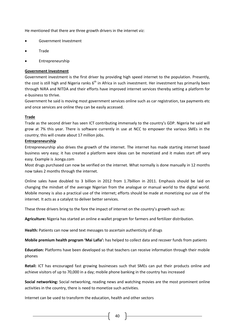He mentioned that there are three growth drivers in the internet viz:

- Government Investment
- Trade
- Entrepreneurship

#### **Government Investment**

Government investment is the first driver by providing high speed internet to the population. Presently, the cost is still high and Nigeria ranks  $6<sup>th</sup>$  in Africa in such investment. Her investment has primarily been through NiRA and NITDA and their efforts have improved internet services thereby setting a platform for e-business to thrive.

Government he said is moving most government services online such as car registration, tax payments etc and once services are online they can be easily accessed.

### **Trade**

Trade as the second driver has seen ICT contributing immensely to the country's GDP. Nigeria he said will grow at 7% this year. There is software currently in use at NCC to empower the various SMEs in the country; this will create about 17 million jobs.

### **Entrepreneurship**

Entrepreneurship also drives the growth of the internet. The internet has made starting internet based business very easy; it has created a platform were ideas can be monetized and it makes start off very easy. Example is .konga.com

Most drugs purchased can now be verified on the internet. What normally is done manually in 12 months now takes 2 months through the internet.

Online sales have doubled to 3 billion in 2012 from 1.7billion in 2011. Emphasis should be laid on changing the mindset of the average Nigerian from the analogue or manual world to the digital world. Mobile money is also a practical use of the internet; efforts should be made at monetizing our use of the internet. It acts as a catalyst to deliver better services.

These three drivers bring to the fore the impact of internet on the country's growth such as:

**Agriculture:** Nigeria has started an online e-wallet program for farmers and fertilizer distribution.

**Health:** Patients can now send text messages to ascertain authenticity of drugs

**Mobile premium health program 'Mai Lafia':** has helped to collect data and recover funds from patients

**Education:** Platforms have been developed so that teachers can receive information through their mobile phones

**Retail:** ICT has encouraged fast growing businesses such that SMEs can put their products online and achieve visitors of up to 70,000 in a day; mobile phone banking in the country has increased

**Social networking:** Social networking, reading news and watching movies are the most prominent online activities in the country, there is need to monetize such activities.

Internet can be used to transform the education, health and other sectors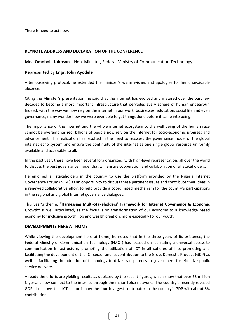There is need to act now.

### **KEYNOTE ADDRESS AND DECLARATION OF THE CONFERENCE**

**Mrs. Omobola Johnson** | Hon. Minister, Federal Ministry of Communication Technology

### Represented by **Engr. John Ayodele**

After observing protocol, he extended the minister's warm wishes and apologies for her unavoidable absence.

Citing the Minister's presentation, he said that the internet has evolved and matured over the past few decades to become a most important infrastructure that pervades every sphere of human endeavour. Indeed, with the way we now rely on the internet in our work, businesses, education, social life and even governance, many wonder how we were ever able to get things done before it came into being.

The importance of the internet and the whole internet ecosystem to the well being of the human race cannot be overemphasized; billions of people now rely on the internet for socio-economic progress and advancement. This realization has resulted in the need to reassess the governance model of the global internet echo system and ensure the continuity of the internet as one single global resource uniformly available and accessible to all.

In the past year, there have been several fora organized, with high-level representation, all over the world to discuss the best governance model that will ensure cooperation and collaboration of all stakeholders.

He enjoined all stakeholders in the country to use the platform provided by the Nigeria Internet Governance Forum (NIGF) as an opportunity to discuss these pertinent issues and contribute their ideas in a renewed collaborative effort to help provide a coordinated mechanism for the country's participations in the regional and global Internet governance dialogues.

This year's theme: **"Harnessing Multi-Stakeholders' Framework for Internet Governance & Economic Growth"** is well articulated, as the focus is on transformation of our economy to a knowledge based economy for inclusive growth, job and wealth creation, more especially for our youth.

#### **DEVELOPMENTS HERE AT HOME**

While viewing the development here at home, he noted that in the three years of its existence, the Federal Ministry of Communication Technology (FMCT) has focused on facilitating a universal access to communication infrastructure, promoting the utilization of ICT in all spheres of life, promoting and facilitating the development of the ICT sector and its contribution to the Gross Domestic Product (GDP) as well as facilitating the adoption of technology to drive transparency in government for effective public service delivery.

Already the efforts are yielding results as depicted by the recent figures, which show that over 63 million Nigerians now connect to the internet through the major Telco networks. The country's recently rebased GDP also shows that ICT sector is now the fourth largest contributor to the country's GDP with about 8% contribution.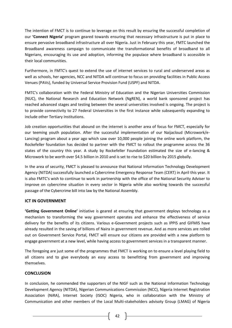The intention of FMCT is to continue to leverage on this result by ensuring the successful completion of our **'Connect Nigeria'** program geared towards ensuring that necessary infrastructure is put in place to ensure pervasive broadband infrastructure all over Nigeria. Just in February this year, FMTC launched the Broadband awareness campaign to communicate the transformational benefits of broadband to all Nigerians, encouraging its use and adoption, informing the populace where broadband is accessible in their local communities.

Furthermore, in FMTC's quest to extend the use of internet services to rural and underserved areas as well as schools, her agencies, NCC and NITDA will continue to focus on providing facilities in Public Access Venues (PAVs), funded by Universal Service Provision Fund (USPF) and NITDA.

FMTC's collaboration with the Federal Ministry of Education and the Nigerian Universities Commission (NUC), the National Research and Education Network (NgREN), a world bank sponsored project has reached advanced stages and testing between the several universities involved is ongoing. The project is to provide connectivity to 27 Federal Universities in the first instance while subsequently expanding to include other Tertiary Institutions.

Job creation opportunities that abound on the internet is another area of focus for FMCT, especially for our teeming youth population. After the successful implementation of our Naijacloud (Microwork/e-Lancing) program about a year ago which saw over 10,000 people joining the online work platform, the Rockefeller foundation has decided to partner with the FMCT to rollout the programme across the 36 states of the country this year. A study by Rockefeller Foundation estimated the size of e-lancing & Microwork to be worth over \$4.5 billion in 2010 and is set to rise to \$20 billion by 2015 globally.

In the area of security, FMCT is pleased to announce that National Information Technology Development Agency (NITDA) successfully launched a Cybercrime Emergency Response Team (CERT) in April this year. It is also FMTC's wish to continue to work in partnership with the office of the National Security Adviser to improve on cybercrime situation in every sector in Nigeria while also working towards the successful passage of the Cybercrime bill into law by the National Assembly.

### **ICT IN GOVERNMENT**

**'Getting Government Online'** initiative is geared at ensuring that government deploys technology as a mechanism to transforming the way government operates and enhance the effectiveness of service delivery for the benefits of its citizens. Various e-Government projects such as IPPIS and GIFMIS have already resulted in the saving of billions of Naira in government revenue. And as more services are rolled out on Government Service Portal, FMCT will ensure our citizens are provided with a new platform to engage government at a new level, while having access to government services in a transparent manner.

The foregoing are just some of the programmes that FMCT is working on to ensure a level playing field to all citizens and to give everybody an easy access to benefitting from government and improving themselves.

### **CONCLUSION**

In conclusion, he commended the supporters of the NIGF such as the National Information Technology Development Agency (NITDA), Nigerian Communications Commission (NCC), Nigeria Internet Registration Association (NiRA), Internet Society (ISOC) Nigeria, who in collaboration with the Ministry of Communication and other members of the Local Multi-stakeholders advisoty Group (LMAG) of Nigeria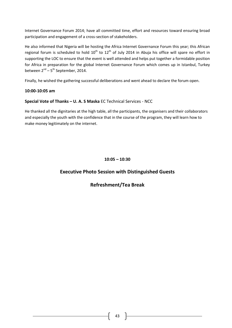Internet Governance Forum 2014; have all committed time, effort and resources toward ensuring broad participation and engagement of a cross-section of stakeholders.

He also informed that Nigeria will be hosting the Africa Internet Governance Forum this year; this African regional forum is scheduled to hold  $10^{th}$  to  $12^{th}$  of July 2014 in Abuja his office will spare no effort in supporting the LOC to ensure that the event is well attended and helps put together a formidable position for Africa in preparation for the global Internet Governance Forum which comes up in Istanbul, Turkey between 2<sup>nd</sup> – 5<sup>th</sup> September, 2014.

Finally, he wished the gathering successful deliberations and went ahead to declare the forum open.

### **10:00-10:05 am**

## **Special Vote of Thanks – U. A. S Maska** EC Technical Services - NCC

He thanked all the dignitaries at the high table, all the participants, the organisers and their collaborators and especially the youth with the confidence that in the course of the program, they will learn how to make money legitimately on the internet.

## **10:05 – 10:30**

## **Executive Photo Session with Distinguished Guests**

## **Refreshment/Tea Break**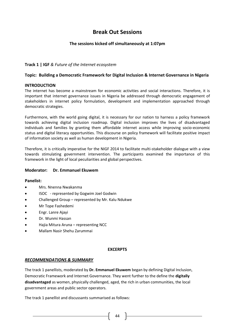# **Break Out Sessions**

### **The sessions kicked off simultaneously at 1:07pm**

### **Track 1 | IGF** *& Future of the Internet ecosystem*

### **Topic: Building a Democratic Framework for Digital Inclusion & Internet Governance in Nigeria**

### **INTRODUCTION**

The internet has become a mainstream for economic activities and social interactions. Therefore, it is important that internet governance issues in Nigeria be addressed through democratic engagement of stakeholders in internet policy formulation, development and implementation approached through democratic strategies.

Furthermore, with the world going digital, it is necessary for our nation to harness a policy framework towards achieving digital inclusion roadmap. Digital inclusion improves the lives of disadvantaged individuals and families by granting them affordable internet access while improving socio-economic status and digital literacy opportunities. This discourse on policy framework will facilitate positive impact of information society as well as human development in Nigeria.

Therefore, it is critically imperative for the NIGF 2014 to facilitate multi-stakeholder dialogue with a view towards stimulating government intervention. The participants examined the importance of this framework in the light of local peculiarities and global perspectives.

### **Moderator: Dr. Emmanuel Ekuwem**

### **Panelist:**

- Mrs. Nnenna Nwakanma
- ISOC represented by Gogwim Joel Godwin
- Challenged Group represented by Mr. Kalu Ndukwe
- Mr Tope Fashedemi
- Engr. Lanre Ajayi
- Dr. Wunmi Hassan
- Hajia Mitura Aruna representing NCC
- Mallam Nasir Shehu Zarummai

#### **EXCERPTS**

#### *RECOMMENDATIONS & SUMMARY*

The track 1 panellists, moderated by **Dr. Emmanuel Ekuwem** began by defining Digital Inclusion, Democratic Framework and Internet Governance. They went further to the define the **digitally disadvantaged** as women, physically challenged, aged, the rich in urban communities, the local government areas and public sector operators.

The track 1 panellist and discussants summarised as follows: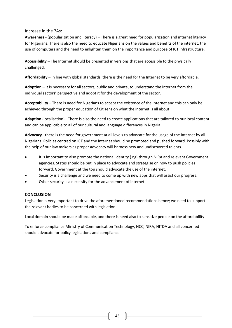### Increase in the 7As:

**Awareness** - (popularization and literacy) – There is a great need for popularization and internet literacy for Nigerians. There is also the need to educate Nigerians on the values and benefits of the internet, the use of computers and the need to enlighten them on the importance and purpose of ICT infrastructure.

**Accessibility** – The Internet should be presented in versions that are accessible to the physically challenged.

**Affordability** – In line with global standards, there is the need for the Internet to be very affordable.

**Adoption** – It is necessary for all sectors, public and private, to understand the internet from the individual sectors' perspective and adopt it for the development of the sector.

**Acceptability** – There is need for Nigerians to accept the existence of the Internet and this can only be achieved through the proper education of Citizens on what the internet is all about

**Adaption** (localisation) - There is also the need to create applications that are tailored to our local content and can be applicable to all of our cultural and language differences in Nigeria.

**Advocacy** –there is the need for government at all levels to advocate for the usage of the internet by all Nigerians. Policies centred on ICT and the internet should be promoted and pushed forward. Possibly with the help of our law makers as proper advocacy will harness new and undiscovered talents.

- It is important to also promote the national identity (.ng) through NIRA and relevant Government agencies. States should be put in place to advocate and strategise on how to push policies forward. Government at the top should advocate the use of the internet.
- Security is a challenge and we need to come up with new apps that will assist our progress.
- Cyber security is a necessity for the advancement of internet.

### **CONCLUSION**

Legislation is very important to drive the aforementioned recommendations hence; we need to support the relevant bodies to be concerned with legislation.

Local domain should be made affordable, and there is need also to sensitize people on the affordability

To enforce compliance Ministry of Communication Technology, NCC, NIRA, NITDA and all concerned should advocate for policy legislations and compliance.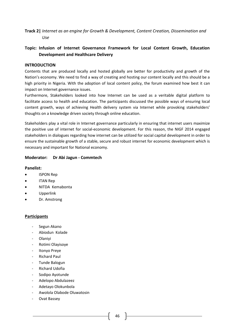## **Track 2|** *Internet as an engine for Growth & Development, Content Creation, Dissemination and Use*

## **Topic: Infusion of Internet Governance Framework for Local Content Growth, Education Development and Healthcare Delivery**

### **INTRODUCTION**

Contents that are produced locally and hosted globally are better for productivity and growth of the Nation's economy. We need to find a way of creating and hosting our content locally and this should be a high priority in Nigeria. With the adoption of local content policy, the forum examined how best it can impact on Internet governance issues.

Furthermore, Stakeholders looked into how Internet can be used as a veritable digital platform to facilitate access to health and education. The participants discussed the possible ways of ensuring local content growth, ways of achieving Health delivery system via Internet while provoking stakeholders' thoughts on a knowledge driven society through online education.

Stakeholders play a vital role in Internet governance particularly in ensuring that internet users maximize the positive use of internet for social-economic development. For this reason, the NIGF 2014 engaged stakeholders in dialogues regarding how internet can be utilized for social capital development in order to ensure the sustainable growth of a stable, secure and robust internet for economic development which is necessary and important for National economy.

### **Moderator: Dr Abi Jagun - Commtech**

### **Panelist:**

- ISPON Rep
- ITAN Rep
- NITDA Kemabonta
- Upperlink
- Dr. Amstrong

## **Participants**

- Segun Akano
- Abiodun Kolade
- **Olaniyi**
- Rotimi Olayisoye
- Itonyo Preye
- Richard Paul
- Tunde Balogun
- **Richard Udofia**
- Sodipo Ayotunde
- Adelopo Abdulazeez
- Adetayo Olokunbola
- Awolola Olabode Oluwatosin
- Ovat Bassey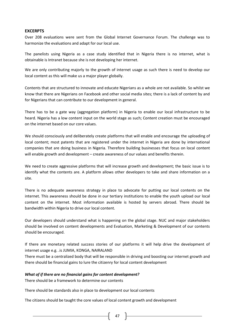### **EXCERPTS**

Over 208 evaluations were sent from the Global Internet Governance Forum. The challenge was to harmonize the evaluations and adapt for our local use.

The panelists using Nigeria as a case study identified that in Nigeria there is no internet, what is obtainable is Intranet because she is not developing her internet.

We are only contributing majorly to the growth of internet usage as such there is need to develop our local content as this will make us a major player globally.

Contents that are structured to innovate and educate Nigerians as a whole are not available. So whilst we know that there are Nigerians on Facebook and other social media sites; there is a lack of content by and for Nigerians that can contribute to our development in general.

There has to be a gate way (aggregation platform) in Nigeria to enable our local infrastructure to be heard. Nigeria has a low content input on the world stage as such; Content creation must be encouraged on the internet based on our core values.

We should consciously and deliberately create platforms that will enable and encourage the uploading of local content; most patents that are registered under the internet in Nigeria are done by international companies that are doing business in Nigeria. Therefore building businesses that focus on local content will enable growth and development – create awareness of our values and benefits therein.

We need to create aggressive platforms that will increase growth and development; the basic issue is to identify what the contents are. A platform allows other developers to take and share information on a site.

There is no adequate awareness strategy in place to advocate for putting our local contents on the internet. This awareness should be done in our tertiary institutions to enable the youth upload our local content on the internet. Most information available is hosted by servers abroad. There should be bandwidth within Nigeria to drive our local content.

Our developers should understand what is happening on the global stage. NUC and major stakeholders should be involved on content developments and Evaluation, Marketing & Development of our contents should be encouraged.

If there are monetary related success stories of our platforms it will help drive the development of internet usage e.g. .is JUMIA, KONGA, NAIRALAND

There must be a centralized body that will be responsible in driving and boosting our internet growth and there should be financial gains to lure the citizenry for local content development

#### *What of if there are no financial gains for content development?*

There should be a framework to determine our contents

There should be standards also in place to development our local contents

The citizens should be taught the core values of local content growth and development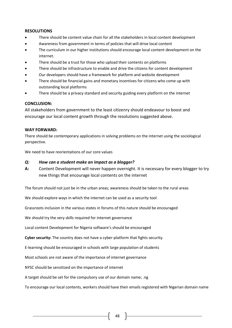### **RESOLUTIONS**

- There should be content value chain for all the stakeholders in local content development
- Awareness from government in terms of policies that will drive local content
- The curriculum in our higher institutions should encourage local content development on the internet.
- There should be a trust for those who upload their contents on platforms
- There should be infrastructure to enable and drive the citizens for content development
- Our developers should have a framework for platform and website development
- There should be financial gains and monetary incentives for citizens who come up with outstanding local platforms
- There should be a privacy standard and security guiding every platform on the internet

### **CONCLUSION:**

All stakeholders from government to the least citizenry should endeavour to boost and encourage our local content growth through the resolutions suggested above.

### **WAY FORWARD:**

There should be contemporary applications in solving problems on the internet using the sociological perspective.

We need to have reorientations of our core values

### *Q: How can a student make an impact as a blogger?*

**A:** Content Development will never happen overnight. It is necessary for every blogger to try new things that encourage local contents on the internet

The forum should not just be in the urban areas; awareness should be taken to the rural areas

We should explore ways in which the internet can be used as a security tool

Grassroots inclusion in the various states in forums of this nature should be encouraged

We should try the very skills required for internet governance

Local content Development for Nigeria software's should be encouraged

**Cyber security:** The country does not have a cyber-platform that fights security.

E-learning should be encouraged in schools with large population of students

Most schools are not aware of the importance of internet governance

NYSC should be sensitized on the importance of internet

A target should be set for the compulsory use of our domain name; .ng

To encourage our local contents, workers should have their emails registered with Nigerian domain name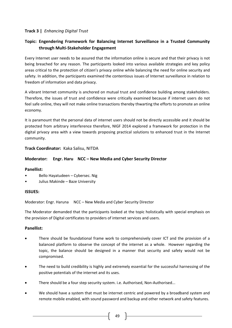## **Track 3 |** *Enhancing Digital Trust*

## **Topic: Engendering Framework for Balancing Internet Surveillance in a Trusted Community through Multi-Stakeholder Engagement**

Every Internet user needs to be assured that the information online is secure and that their privacy is not being breached for any reason. The participants looked into various available strategies and key policy areas critical to the protection of citizen's privacy online while balancing the need for online security and safety. In addition, the participants examined the contentious issues of Internet surveillance in relation to freedom of information and data privacy.

A vibrant Internet community is anchored on mutual trust and confidence building among stakeholders. Therefore, the issues of trust and confidence were critically examined because if internet users do not feel safe online, they will not make online transactions thereby thwarting the efforts to promote an online economy.

It is paramount that the personal data of internet users should not be directly accessible and it should be protected from arbitrary interference therefore, NIGF 2014 explored a framework for protection in the digital privacy area with a view towards proposing practical solutions to enhanced trust in the Internet community.

## **Track Coordinator:** Kaka Salisu, NITDA

### **Moderator: Engr. Haru NCC – New Media and Cyber Security Director**

### **Panellist:**

- Bello Hayatudeen Cybersec. Nig
- Julius Makinde Baze University

### **ISSUES:**

Moderator: Engr. Haruna NCC – New Media and Cyber Security Director

The Moderator demanded that the participants looked at the topic holistically with special emphasis on the provision of Digital certificates to providers of internet services and users.

### **Panellist:**

- There should be foundational frame work to comprehensively cover ICT and the provision of a balanced platform to observe the concept of the internet as a whole. However regarding the topic, the balance should be designed in a manner that security and safety would not be compromised.
- The need to build credibility is highly and extremely essential for the successful harnessing of the positive potentials of the internet and its uses.
- There should be a four step security system. i.e. Authorised, Non-Authorised...
- We should have a system that must be internet centric and powered by a broadband system and remote mobile enabled, with sound password and backup and other network and safety features.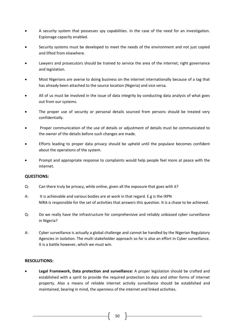- A security system that possesses spy capabilities. In the case of the need for an investigation. Espionage capacity enabled.
- Security systems must be developed to meet the needs of the environment and not just copied and lifted from elsewhere.
- Lawyers and prosecutors should be trained to service the area of the internet; right governance and legislation.
- Most Nigerians are averse to doing business on the internet internationally because of a tag that has already been attached to the source location (Nigeria) and vice versa.
- All of us must be involved in the issue of data integrity by conducting data analysis of what goes out from our systems.
- The proper use of security or personal details sourced from persons should be treated very confidentially.
- Proper communication of the use of details or adjustment of details must be communicated to the owner of the details before such changes are made.
- Efforts leading to proper data privacy should be upheld until the populace becomes confident about the operations of the system.
- Prompt and appropriate response to complaints would help people feel more at peace with the internet.

### **QUESTIONS:**

- Q: Can there truly be privacy, while online, given all the exposure that goes with it?
- A: It is achievable and various bodies are at work in that regard. E.g is the IXPN NIRA is responsible for the set of activities that answers this question. It is a chase to be achieved.
- Q: Do we really have the infrastructure for comprehensive and reliably unbiased cyber surveillance in Nigeria?
- A: Cyber surveillance is actually a global challenge and cannot be handled by the Nigerian Regulatory Agencies in isolation. The multi stakeholder approach so far is also an effort in Cyber surveillance. It is a battle however, which we must win.

### **RESOLUTIONS:**

 **Legal Framework, Data protection and surveillance:** A proper legislation should be crafted and established with a spirit to provide the required protection to data and other forms of internet property. Also a means of reliable internet activity surveillance should be established and maintained, bearing in mind, the openness of the internet and linked activities.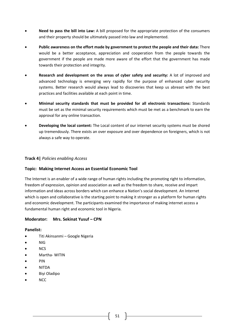- **Need to pass the bill into Law:** A bill proposed for the appropriate protection of the consumers and their property should be ultimately passed into law and implemented.
- **Public awareness on the effort made by government to protect the people and their data:** There would be a better acceptance, appreciation and cooperation from the people towards the government if the people are made more aware of the effort that the government has made towards their protection and integrity.
- **Research and development on the areas of cyber safety and security:** A lot of improved and advanced technology is emerging very rapidly for the purpose of enhanced cyber security systems. Better research would always lead to discoveries that keep us abreast with the best practices and facilities available at each point in time.
- **Minimal security standards that must be provided for all electronic transactions:** Standards must be set as the minimal security requirements which must be met as a benchmark to earn the approval for any online transaction.
- **Developing the local content:** The Local content of our internet security systems must be shored up tremendously. There exists an over exposure and over dependence on foreigners, which is not always a safe way to operate.

### **Track 4|** *Policies enabling Access*

### **Topic: Making Internet Access an Essential Economic Tool**

The Internet is an enabler of a wide range of human rights including the promoting right to information, freedom of expression, opinion and association as well as the freedom to share, receive and impart information and ideas across borders which can enhance a Nation's social development. An Internet which is open and collaborative is the starting point to making it stronger as a platform for human rights and economic development. The participants examined the importance of making internet access a fundamental human right and economic tool in Nigeria.

### **Moderator:** Mrs. Sekinat Yusuf – CPN

### **Panelist:**

- Titi Akinsanmi Google Nigeria
- NIG
- **NCS**
- Martha- WITIN
- PIN
- NITDA
- Biyi Oladipo
- NCC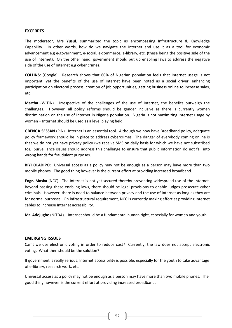### **EXCERPTS**

The moderator, **Mrs Yusuf**, summarized the topic as encompassing Infrastructure & Knowledge Capability. In other words, how do we navigate the Internet and use it as a tool for economic advancement e.g e-government, e-social, e-commerce, e-library, etc. (these being the positive side of the use of Internet). On the other hand, government should put up enabling laws to address the negative side of the use of Internet e.g cyber crimes.

**COLLINS:** (Google). Research shows that 60% of Nigerian population feels that Internet usage is not important; yet the benefits of the use of Internet have been noted as a social driver, enhancing participation on electoral process, creation of job opportunities, getting business online to increase sales, etc.

**Martha** (WITIN). Irrespective of the challenges of the use of Internet, the benefits outweigh the challenges. However, all policy reforms should be gender inclusive as there is currently women discrimination on the use of Internet in Nigeria population. Nigeria is not maximizing Internet usage by women – Internet should be used as a level playing field.

**GBENGA SESSAN** (PIN). Internet is an essential tool. Although we now have Broadband policy, adequate policy framework should be in place to address cybercrimes. The danger of everybody coming online is that we do not yet have privacy policy (we receive SMS on daily basis for which we have not subscribed to). Surveillance issues should address this challenge to ensure that public information do not fall into wrong hands for fraudulent purposes.

**BIYI OLADIPO**: Universal access as a policy may not be enough as a person may have more than two mobile phones. The good thing however is the current effort at providing increased broadband.

**Engr. Maska** (NCC). The Internet is not yet secured thereby preventing widespread use of the Internet. Beyond passing these enabling laws, there should be legal provisions to enable judges prosecute cyber criminals. However, there is need to balance between privacy and the use of Internet as long as they are for normal purposes. On infrastructural requirement, NCC is currently making effort at providing Internet cables to increase Internet accessibility.

**Mr. Adejugbe** (NITDA). Internet should be a fundamental human right, especially for women and youth.

#### **EMERGING ISSUES**

Can't we use electronic voting in order to reduce cost? Currently, the law does not accept electronic voting. What then should be the solution?

If government is really serious, Internet accessibility is possible, especially for the youth to take advantage of e-library, research work, etc.

Universal access as a policy may not be enough as a person may have more than two mobile phones. The good thing however is the current effort at providing increased broadband.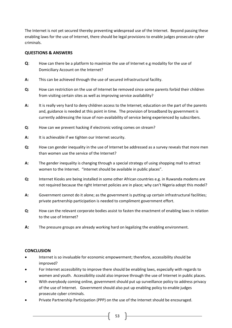The Internet is not yet secured thereby preventing widespread use of the Internet. Beyond passing these enabling laws for the use of Internet, there should be legal provisions to enable judges prosecute cyber criminals.

### **QUESTIONS & ANSWERS**

- **Q**: How can there be a platform to maximize the use of Internet e.g modality for the use of Domiciliary Account on the Internet?
- **A:** This can be achieved through the use of secured infrastructural facility.
- **Q:** How can restriction on the use of Internet be removed since some parents forbid their children from visiting certain sites as well as improving service availability?
- **A:** It is really very hard to deny children access to the Internet; education on the part of the parents and, guidance is needed at this point in time. The provision of broadband by government is currently addressing the issue of non-availability of service being experienced by subscribers.
- **Q**: How can we prevent hacking if electronic voting comes on stream?
- **A:** It is achievable if we tighten our Internet security.
- **Q:** How can gender inequality in the use of Internet be addressed as a survey reveals that more men than women use the service of the Internet?
- **A:** The gender inequality is changing through a special strategy of using shopping mall to attract women to the Internet. "Internet should be available in public places".
- **Q:** Internet Kiosks are being installed in some other African countries e.g. in Ruwanda modems are not required because the right Internet policies are in place; why can't Nigeria adopt this model?
- **A:** Government cannot do it alone; as the government is putting up certain infrastructural facilities; private partnership participation is needed to compliment government effort.
- **Q**: How can the relevant corporate bodies assist to fasten the enactment of enabling laws in relation to the use of Internet?
- **A:** The pressure groups are already working hard on legalizing the enabling environment.

## **CONCLUSION**

- Internet is so invaluable for economic empowerment; therefore, accessibility should be improved?
- For Internet accessibility to improve there should be enabling laws, especially with regards to women and youth. Accessibility could also improve through the use of Internet in public places.
- With everybody coming online, government should put up surveillance policy to address privacy of the use of Internet. Government should also put up enabling policy to enable judges prosecute cyber criminals.
- Private Partnership Participation (PPP) on the use of the Internet should be encouraged.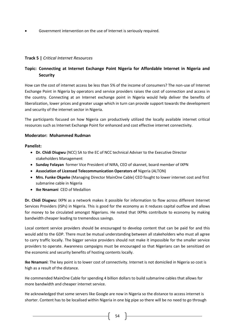Government intervention on the use of Internet is seriously required.

## **Track 5 |** *Critical Internet Resources*

## **Topic: Connecting at Internet Exchange Point Nigeria for Affordable Internet in Nigeria and Security**

How can the cost of internet access be less than 5% of the income of consumers? The non-use of Internet Exchange Point in Nigeria by operators and service providers raises the cost of connection and access in the country. Connecting at an Internet exchange point in Nigeria would help deliver the benefits of liberalization, lower prices and greater usage which in turn can provide support towards the development and security of the internet sector in Nigeria.

The participants focused on how Nigeria can productively utilized the locally available internet critical resources such as Internet Exchange Point for enhanced and cost effective internet connectivity.

### **Moderator: Mohammed Rudman**

### **Panelist:**

- **Dr. Chidi Diugwu** (NCC) SA to the EC of NCC technical Adviser to the Executive Director stakeholders Management
- **Sunday Folayan** former Vice President of NIRA, CEO of skannet, board member of IXPN
- **Association of Licensed Telecommunication Operators of** Nigeria (ALTON)
- **Mrs. Funke Okpeke** (Managing Director MainOne Cable) CEO fought to lower internet cost and first submarine cable in Nigeria
- **Ike Nnamani** CEO of Medallion

**Dr. Chidi Diugwu:** IXPN as a network makes it possible for information to flow across different Internet Services Providers (ISPs) in Nigeria. This is good for the economy as it reduces capital outflow and allows for money to be circulated amongst Nigerians. He noted that IXPNs contribute to economy by making bandwidth cheaper leading to tremendous savings.

Local content service providers should be encouraged to develop content that can be paid for and this would add to the GDP. There must be mutual understanding between all stakeholders who must all agree to carry traffic locally. The bigger service providers should not make it impossible for the smaller service providers to operate. Awareness campaigns must be encouraged so that Nigerians can be sensitized on the economic and security benefits of hosting contents locally.

**Ike Nnamani**: The key point is to lower cost of connectivity. Internet is not domiciled in Nigeria so cost is high as a result of the distance.

He commended MainOne Cable for spending 4 billion dollars to build submarine cables that allows for more bandwidth and cheaper internet service.

He acknowledged that some servers like Google are now in Nigeria so the distance to access internet is shorter. Content has to be localised within Nigeria in one big pipe so there will be no need to go through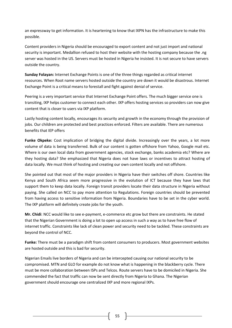an expressway to get information. It is heartening to know that IXPN has the infrastructure to make this possible.

Content providers in Nigeria should be encouraged to export content and not just import and national security is important. Medallion refused to host their website with the hosting company because the .ng server was hosted in the US. Servers must be hosted in Nigeria he insisted. It is not secure to have servers outside the country.

**Sunday Folayan:** Internet Exchange Points is one of the three things regarded as critical internet resources. When Root name servers hosted outside the country are down it would be disastrous. Internet Exchange Point is a critical means to forestall and fight against denial of service.

Peering is a very important service that Internet Exchange Point offers. The much bigger service one is transiting, IXP helps customer to connect each other. IXP offers hosting services so providers can now give content that is closer to users via IXP platform.

Lastly hosting content locally, encourages its security and growth in the economy through the provision of jobs. Our children are protected and best practices enforced. Filters are available. There are numerous benefits that IEP offers

Funke Okpeke: Cost implication of bridging the digital divide. Increasingly over the years, a lot more volume of data is being transferred. Bulk of our content is gotten offshore from Yahoo, Google mail etc. Where is our own local data from government agencies, stock exchange, banks academia etc? Where are they hosting data? She emphasized that Nigeria does not have laws or incentives to attract hosting of data locally. We must think of hosting and creating our own content locally and not offshore.

She pointed out that most of the major providers in Nigeria have their switches off shore. Countries like Kenya and South Africa seem more progressive in the evolution of ICT because they have laws that support them to keep data locally. Foreign transit providers locate their data structure in Nigeria without paying. She called on NCC to pay more attention to Regulations. Foreign countries should be prevented from having access to sensitive information from Nigeria. Boundaries have to be set in the cyber world. The IXP platform will definitely create jobs for the youth.

**Mr. Chidi**: NCC would like to see e-payment, e-commerce etc grow but there are constraints. He stated that the Nigerian Government is doing a lot to open up access in such a way as to have free flow of internet traffic. Constraints like lack of clean power and security need to be tackled. These constraints are beyond the control of NCC.

**Funke:** There must be a paradigm shift from content consumers to producers. Most government websites are hosted outside and this is bad for security.

Nigerian Emails live borders of Nigeria and can be intercepted causing our national security to be compromised. MTN and GLO for example do not know what is happening in the blackberry cycle. There must be more collaboration between ISPs and Telcos. Route servers have to be domiciled in Nigeria. She commended the fact that traffic can now be sent directly from Nigeria to Ghana. The Nigerian government should encourage one centralized IXP and more regional IXPs.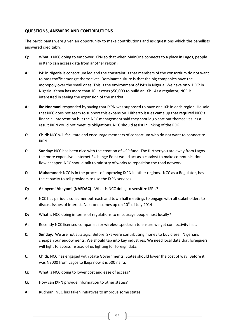### **QUESTIONS, ANSWERS AND CONTRIBUTIONS**

The participants were given an opportunity to make contributions and ask questions which the panellists answered creditably.

- **Q:** What is NCC doing to empower IXPN so that when MainOne connects to a place in Lagos, people in Kano can access data from another region?
- **A**: ISP in Nigeria is consortium led and the constraint is that members of the consortium do not want to pass traffic amongst themselves. Dominant culture is that the big companies have the monopoly over the small ones. This is the environment of ISPs in Nigeria. We have only 1 IXP in Nigeria. Kenya has more than 10. It costs \$50,000 to build an IXP. As a regulator, NCC is interested in seeing the expansion of the market.
- **A: Ike Nnamani** responded by saying that IXPN was supposed to have one IXP in each region. He said that NCC does not seem to support this expansion. Hitherto issues came up that required NCC's financial intervention but the NCC management said they should go sort out themselves: as a result IXPN could not meet its obligations. NCC should assist in linking of the POP.
- **C: Chidi**: NCC will facilitate and encourage members of consortium who do not want to connect to IXPN.
- **C**: **Sunday**: NCC has been nice with the creation of USP fund. The further you are away from Lagos the more expensive. Internet Exchange Point would act as a catalyst to make communication flow cheaper. NCC should talk to ministry of works to reposition the road network.
- **C: Muhammed**: NCC is in the process of approving IXPN in other regions. NCC as a Regulator, has the capacity to tell providers to use the IXPN services.
- **Q: Akinyemi Abayomi (NAFDAC)** What is NCC doing to sensitize ISP's?
- **A:** NCC has periodic consumer outreach and town hall meetings to engage with all stakeholders to discuss issues of interest. Next one comes up on  $10<sup>th</sup>$  of July 2014
- **Q:** What is NCC doing in terms of regulations to encourage people host locally?
- **A:** Recently NCC licensed companies for wireless spectrum to ensure we get connectivity fast.
- **C: Sunday:** We are not strategic. Before ISPs were contributing money to buy diesel. Nigerians cheapen our endowments. We should tap into key industries. We need local data that foreigners will fight to access instead of us fighting for foreign data.
- **C: Chidi:** NCC has engaged with State Governments; States should lower the cost of way. Before it was N3000 from Lagos to Ikeja now it is 500 naira.
- **Q:** What is NCC doing to lower cost and ease of access?
- **Q:** How can IXPN provide information to other states?
- **A:** Rudman: NCC has taken initiatives to improve some states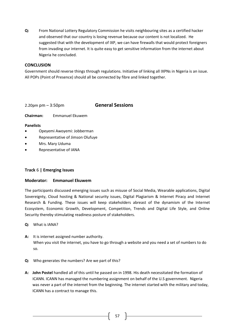**Q:** From National Lottery Regulatory Commission he visits neighbouring sites as a certified hacker and observed that our country is losing revenue because our content is not localized. He suggested that with the development of IXP, we can have firewalls that would protect foreigners from invading our internet. It is quite easy to get sensitive information from the internet about Nigeria he concluded.

### **CONCLUSION**

Government should reverse things through regulations. Initiative of linking all IXPNs in Nigeria is an issue. All POPs (Point of Presence) should all be connected by fibre and linked together.

2.20pm pm – 3:50pm **General Sessions**

**Chairman:** Emmanuel Ekuwem

### **Panelists**

- Opeyemi Awoyemi: Jobberman
- Representative of Jimson Olufuye
- Mrs. Mary Uduma
- Representative of IANA

## **Track** 6 **| Emerging Issues**

### **Moderator: Emmanuel Ekuwem**

The participants discussed emerging issues such as misuse of Social Media, Wearable applications, Digital Sovereignty, Cloud hosting & National security issues, Digital Plagiarism & Internet Piracy and Internet Research & Funding. These issues will keep stakeholders abreast of the dynamism of the Internet Ecosystem, Economic Growth, Development, Competition, Trends and Digital Life Style, and Online Security thereby stimulating readiness posture of stakeholders.

- **Q:** What is IANA?
- **A:** It is internet assigned number authority. When you visit the internet, you have to go through a website and you need a set of numbers to do so.
- **Q:** Who generates the numbers? Are we part of this?
- **A: John Postel** handled all of this until he passed on in 1998. His death necessitated the formation of ICANN. ICANN has managed the numbering assignment on behalf of the U.S government. Nigeria was never a part of the internet from the beginning. The internet started with the military and today, ICANN has a contract to manage this.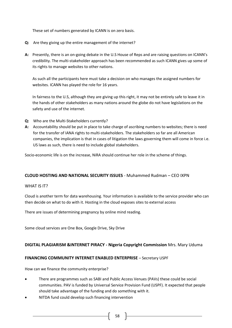These set of numbers generated by ICANN is on zero basis.

- **Q:** Are they giving up the entire management of the internet?
- **A:** Presently, there is an on-going debate in the U.S House of Reps and are raising questions on ICANN's credibility. The multi-stakeholder approach has been recommended as such ICANN gives up some of its rights to manage websites to other nations.

As such all the participants here must take a decision on who manages the assigned numbers for websites. ICANN has played the role for 16 years.

In fairness to the U.S, although they are giving up this right, it may not be entirely safe to leave it in the hands of other stakeholders as many nations around the globe do not have legislations on the safety and use of the internet.

- **Q:** Who are the Multi-Stakeholders currently?
- **A:** Accountability should be put in place to take charge of ascribing numbers to websites; there is need for the transfer of IANA rights to multi-stakeholders. The stakeholders so far are all American companies, the implication is that in cases of litigation the laws governing them will come in force i.e. US laws as such, there is need to include global stakeholders.

Socio-economic life is on the increase, NiRA should continue her role in the scheme of things.

### **CLOUD HOSTING AND NATIONAL SECURITY ISSUES** - Muhammed Rudman – CEO IXPN

### WHAT IS IT?

Cloud is another term for data warehousing. Your information is available to the service provider who can then decide on what to do with it. Hosting in the cloud exposes sites to external access

There are issues of determining pregnancy by online mind reading.

Some cloud services are One Box, Google Drive, Sky Drive

### **DIGITAL PLAGIARISM &INTERNET PIRACY - Nigeria Copyright Commission** Mrs. Mary Uduma

### **FINANCING COMMUNITY INTERNET ENABLED ENTERPRISE** – Secretary USPF

How can we finance the community enterprise?

- There are programmes such as SABI and Public Access Venues (PAVs) these could be social communities. PAV is funded by Universal Service Provision Fund (USPF). It expected that people should take advantage of the funding and do something with it.
- NITDA fund could develop such financing intervention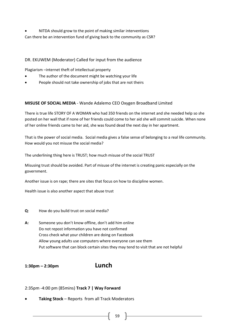NITDA should grow to the point of making similar interventions Can there be an intervention fund of giving back to the community as CSR?

## DR. EKUWEM (Moderator) Called for input from the audience

Plagiarism –internet theft of intellectual property

- The author of the document might be watching your life
- People should not take ownership of jobs that are not theirs

### **MISUSE OF SOCIAL MEDIA** - Wande Adalemo CEO Oxygen Broadband Limited

There is true life STORY OF A WOMAN who had 350 friends on the internet and she needed help so she posted on her wall that if none of her friends could come to her aid she will commit suicide. When none of her online friends came to her aid, she was found dead the next day in her apartment.

That is the power of social media. Social media gives a false sense of belonging to a real life community. How would you not misuse the social media?

The underlining thing here is TRUST; how much misuse of the social TRUST

Misusing trust should be avoided. Part of misuse of the internet is creating panic especially on the government.

Another issue is on rape; there are sites that focus on how to discipline women.

Health issue is also another aspect that abuse trust

- **Q**: How do you build trust on social media?
- **A:** Someone you don't know offline, don't add him online Do not repost information you have not confirmed Cross check what your children are doing on Facebook Allow young adults use computers where everyone can see them Put software that can block certain sites they may tend to visit that are not helpful

**1:30pm – 2:30pm Lunch**

#### 2:35pm -4:00 pm (85mins) **Track 7 | Way Forward**

**Taking Stock** – Reports from all Track Moderators